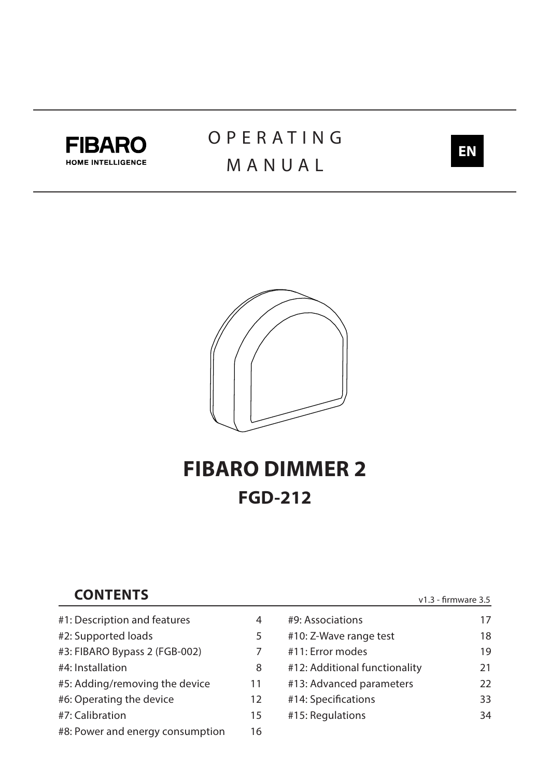

# **OPERATING** MANUAL





# **FIBARO DIMMER 2 FGD-212**

# **CONTENTS**

#1: [Description and features](#page-3-0) 4 #2: [Supported loads](#page-4-0) 5 #3: [FIBARO Bypass 2 \(FGB-002\)](#page-6-0) 7 #4: [Installation](#page-7-0) 8 #5: [Adding/removing the device](#page-10-0) 11 #6: [Operating the device](#page-11-0) 12 #7: [Calibration](#page-14-0) 15 #8: [Power and energy consumption](#page-15-0) 16

| #9: Associations              | 17 |
|-------------------------------|----|
| #10: Z-Wave range test        | 18 |
| #11: Error modes              | 19 |
| #12: Additional functionality | 21 |
| #13: Advanced parameters      | フフ |
| #14: Specifications           | 33 |
| #15: Regulations              | 34 |
|                               |    |

v1.3 - firmware 3.5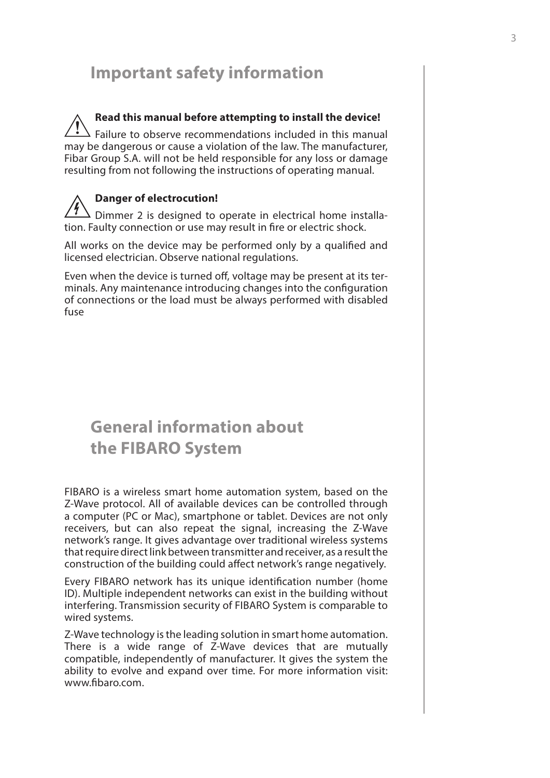# **Important safety information**

**Read this manual before attempting to install the device!** Failure to observe recommendations included in this manual may be dangerous or cause a violation of the law. The manufacturer, Fibar Group S.A. will not be held responsible for any loss or damage resulting from not following the instructions of operating manual. **!**

# **Danger of electrocution!**

Dimmer 2 is designed to operate in electrical home installation. Faulty connection or use may result in fire or electric shock.

All works on the device may be performed only by a qualified and licensed electrician. Observe national regulations.

Even when the device is turned off, voltage may be present at its terminals. Any maintenance introducing changes into the configuration of connections or the load must be always performed with disabled fuse

# **General information about the FIBARO System**

FIBARO is a wireless smart home automation system, based on the Z-Wave protocol. All of available devices can be controlled through a computer (PC or Mac), smartphone or tablet. Devices are not only receivers, but can also repeat the signal, increasing the Z-Wave network's range. It gives advantage over traditional wireless systems that require direct link between transmitter and receiver, as a result the construction of the building could affect network's range negatively.

Every FIBARO network has its unique identification number (home ID). Multiple independent networks can exist in the building without interfering. Transmission security of FIBARO System is comparable to wired systems.

Z-Wave technology is the leading solution in smart home automation. There is a wide range of Z-Wave devices that are mutually compatible, independently of manufacturer. It gives the system the ability to evolve and expand over time. For more information visit: www.fibaro.com.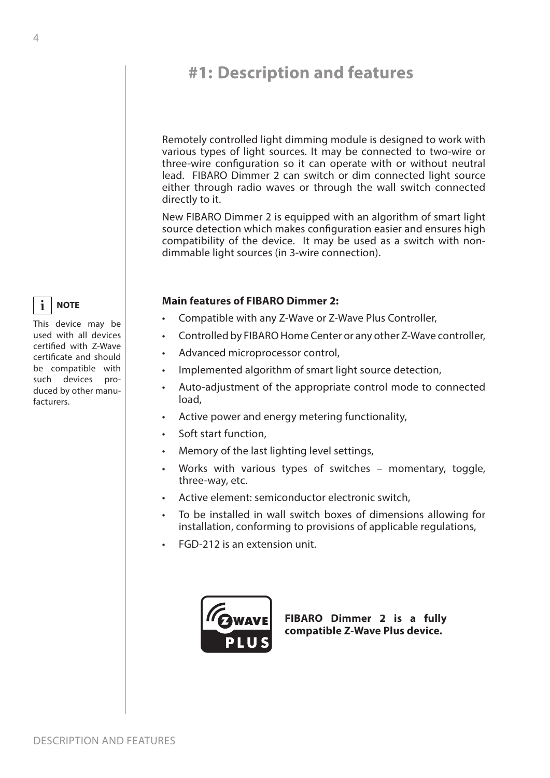# <span id="page-3-0"></span>**#1: Description and features**

Remotely controlled light dimming module is designed to work with various types of light sources. It may be connected to two-wire or three-wire configuration so it can operate with or without neutral lead. FIBARO Dimmer 2 can switch or dim connected light source either through radio waves or through the wall switch connected directly to it.

New FIBARO Dimmer 2 is equipped with an algorithm of smart light source detection which makes configuration easier and ensures high compatibility of the device. It may be used as a switch with nondimmable light sources (in 3-wire connection).

#### **Main features of FIBARO Dimmer 2:**

- Compatible with any Z-Wave or Z-Wave Plus Controller,
- Controlled by FIBARO Home Center or any other Z-Wave controller,
- Advanced microprocessor control,
- Implemented algorithm of smart light source detection,
- Auto-adjustment of the appropriate control mode to connected load,
- Active power and energy metering functionality,
- Soft start function,
- Memory of the last lighting level settings,
- Works with various types of switches momentary, toggle, three-way, etc.
- Active element: semiconductor electronic switch,
- To be installed in wall switch boxes of dimensions allowing for installation, conforming to provisions of applicable regulations,
- FGD-212 is an extension unit.



**FIBARO Dimmer 2 is a fully compatible Z-Wave Plus device.**

#### **NOTE i**

This device may be used with all devices certified with Z-Wave certificate and should be compatible with such devices produced by other manufacturers.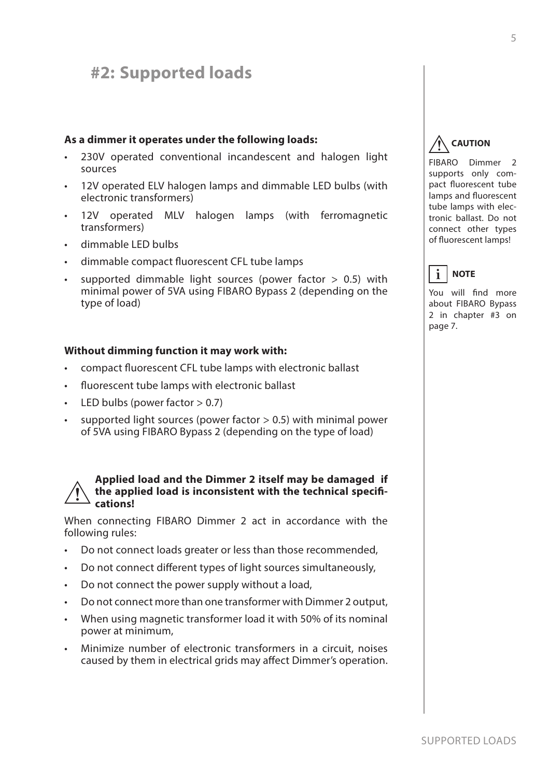# <span id="page-4-0"></span>**#2: Supported loads**

#### **As a dimmer it operates under the following loads:**

- 230V operated conventional incandescent and halogen light sources
- 12V operated ELV halogen lamps and dimmable LED bulbs (with electronic transformers)
- 12V operated MLV halogen lamps (with ferromagnetic transformers)
- dimmable LED bulbs
- dimmable compact fluorescent CFL tube lamps
- supported dimmable light sources (power factor  $> 0.5$ ) with minimal power of 5VA using FIBARO Bypass 2 (depending on the type of load)

#### **Without dimming function it may work with:**

- compact fluorescent CFL tube lamps with electronic ballast
- fluorescent tube lamps with electronic ballast
- LED bulbs (power factor  $> 0.7$ )
- supported light sources (power factor  $> 0.5$ ) with minimal power of 5VA using FIBARO Bypass 2 (depending on the type of load)

#### **Applied load and the Dimmer 2 itself may be damaged if the applied load is inconsistent with the technical specifications! !**

When connecting FIBARO Dimmer 2 act in accordance with the following rules:

- Do not connect loads greater or less than those recommended,
- Do not connect different types of light sources simultaneously,
- Do not connect the power supply without a load,
- Do not connect more than one transformer with Dimmer 2 output,
- When using magnetic transformer load it with 50% of its nominal power at minimum,
- Minimize number of electronic transformers in a circuit, noises caused by them in electrical grids may affect Dimmer's operation.

#### **CAUTION !**

FIBARO Dimmer 2 supports only compact fluorescent tube lamps and fluorescent tube lamps with electronic ballast. Do not connect other types of fluorescent lamps!



You will find more about FIBARO Bypass 2 in chapter [#3 on](#page-6-1) [page 7](#page-6-1).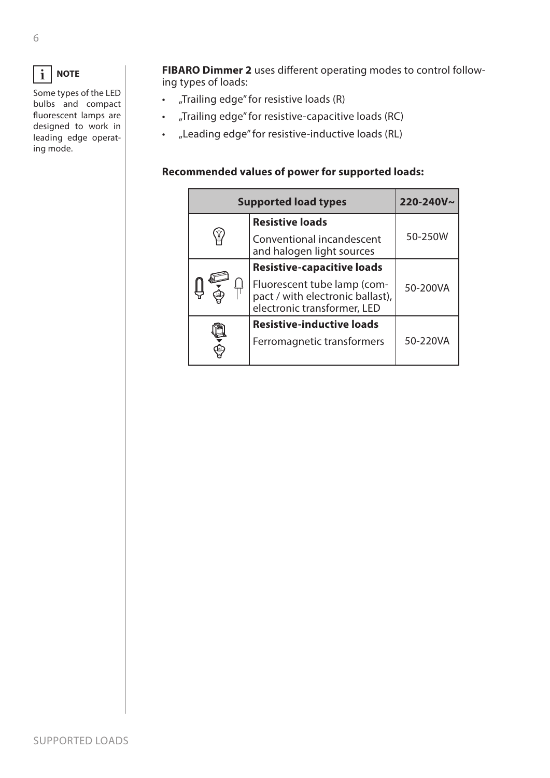#### **NOTE i**

Some types of the LED bulbs and compact fluorescent lamps are designed to work in leading edge operating mode.

**FIBARO Dimmer 2** uses different operating modes to control following types of loads:

- "Trailing edge" for resistive loads (R)
- "Trailing edge" for resistive-capacitive loads (RC)
- "Leading edge" for resistive-inductive loads (RL)

### **Recommended values of power for supported loads:**

| <b>Supported load types</b>                                                                    |          |  |
|------------------------------------------------------------------------------------------------|----------|--|
| <b>Resistive loads</b>                                                                         |          |  |
| Conventional incandescent<br>and halogen light sources                                         | 50-250W  |  |
| <b>Resistive-capacitive loads</b>                                                              |          |  |
| Fluorescent tube lamp (com-<br>pact / with electronic ballast),<br>electronic transformer, LED | 50-200VA |  |
| <b>Resistive-inductive loads</b>                                                               |          |  |
| Ferromagnetic transformers                                                                     | 50-220VA |  |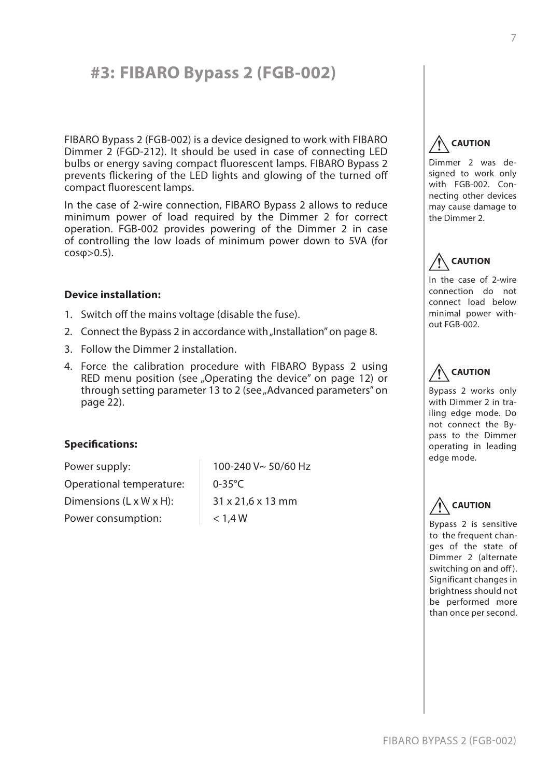# <span id="page-6-1"></span><span id="page-6-0"></span>**#3: FIBARO Bypass 2 (FGB-002)**

FIBARO Bypass 2 (FGB-002) is a device designed to work with FIBARO Dimmer 2 (FGD-212). It should be used in case of connecting LED bulbs or energy saving compact fluorescent lamps. FIBARO Bypass 2 prevents flickering of the LED lights and glowing of the turned off compact fluorescent lamps.

In the case of 2-wire connection, FIBARO Bypass 2 allows to reduce minimum power of load required by the Dimmer 2 for correct operation. FGB-002 provides powering of the Dimmer 2 in case of controlling the low loads of minimum power down to 5VA (for  $cosφ > 0.5$ ).

#### **Device installation:**

- 1. Switch off the mains voltage (disable the fuse).
- 2. Connect the Bypass 2 in accordance with ["Installation" on page 8](#page-7-1).
- 3. Follow the Dimmer 2 installation.
- 4. Force the calibration procedure with FIBARO Bypass 2 using RED menu position (see ["Operating the device" on page 12](#page-11-1)) or through setting parameter 13 to 2 (see "Advanced parameters" on [page 22\)](#page-21-1).

#### **Specifications:**

Power supply: Operational temperature: Dimensions (L x W x H): Power consumption:

100-240 V~ 50/60 Hz 0-35°C 31 x 21,6 x 13 mm  $< 1.4 W$ 

#### **CAUTION !**

Dimmer 2 was designed to work only with FGB-002. Connecting other devices may cause damage to the Dimmer 2.

#### **CAUTION !**

In the case of 2-wire connection do not connect load below minimal power without FGB-002.

#### **CAUTION !**

Bypass 2 works only with Dimmer 2 in trailing edge mode. Do not connect the Bypass to the Dimmer operating in leading edge mode.

#### **CAUTION !**

Bypass 2 is sensitive to the frequent changes of the state of Dimmer 2 (alternate switching on and off). Significant changes in brightness should not be performed more than once per second.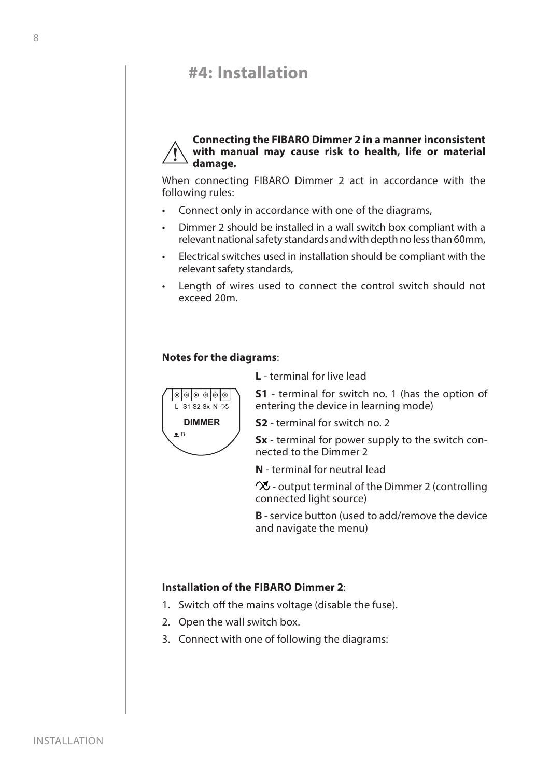# <span id="page-7-1"></span><span id="page-7-0"></span>**#4: Installation**

#### **Connecting the FIBARO Dimmer 2 in a manner inconsistent with manual may cause risk to health, life or material damage. !**

When connecting FIBARO Dimmer 2 act in accordance with the following rules:

- Connect only in accordance with one of the diagrams,
- Dimmer 2 should be installed in a wall switch box compliant with a relevant national safety standards and with depth no less than 60mm,
- Electrical switches used in installation should be compliant with the relevant safety standards,
- Length of wires used to connect the control switch should not exceed 20m.

#### **Notes for the diagrams**:

 $\blacksquare$ 

**DIMMER**

 $\circ \circ \circ \circ \circ \circ$ L S1 S2 Sx N  $\infty$  **L** - terminal for live lead

**S1** - terminal for switch no. 1 (has the option of entering the device in learning mode)

**S2** - terminal for switch no. 2

**Sx** - terminal for power supply to the switch connected to the Dimmer 2

**N** - terminal for neutral lead

 $\infty$  - output terminal of the Dimmer 2 (controlling connected light source)

**B** - service button (used to add/remove the device and navigate the menu)

#### **Installation of the FIBARO Dimmer 2**:

- 1. Switch off the mains voltage (disable the fuse).
- 2. Open the wall switch box.
- 3. Connect with one of following the diagrams: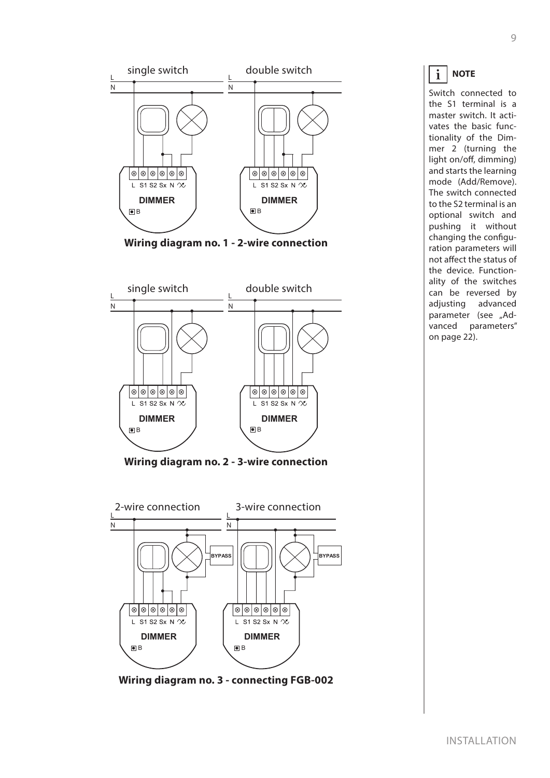# Installation



#### **NOTE i**

Switch connected to the S1 terminal is a master switch. It activates the basic functionality of the Dimmer 2 (turning the light on/off, dimming) and starts the learning mode (Add/Remove). The switch connected to the S2 terminal is an optional switch and pushing it without changing the configuration parameters will not affect the status of the device. Functionality of the switches can be reversed by adjusting advanced parameter (see ["Ad](#page-21-1)[vanced parameters"](#page-21-1) [on page 22](#page-21-1)).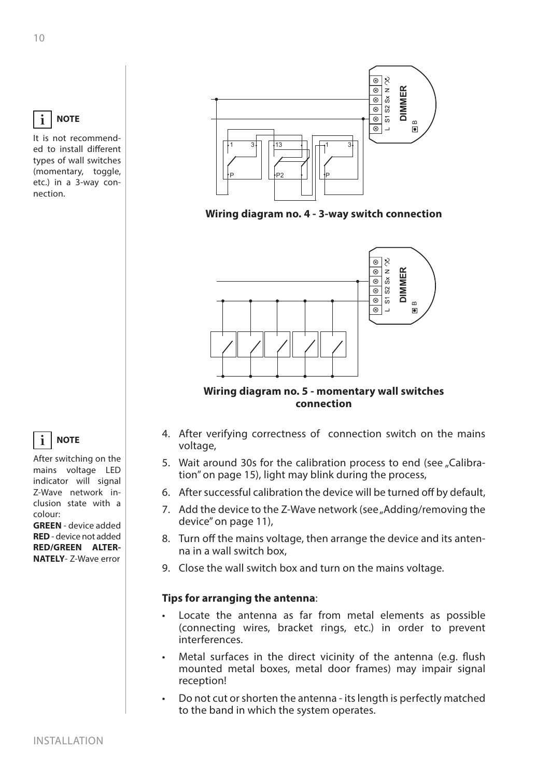# **NOTE**

It is not recommended to install different types of wall switches (momentary, toggle, etc.) in a 3-way connection.





**Wiring diagram no. 5 - momentary wall switches connection**

# 4. After verifying correctness of connection switch on the mains voltage,

- 5. Wait around 30s for the calibration process to end (see ["Calibra](#page-14-1)[tion" on page 15\)](#page-14-1), light may blink during the process,
- 6. After successful calibration the device will be turned off by default,
- 7. Add the device to the Z-Wave network (see "Adding/removing the [device" on page 11\)](#page-10-1),
- 8. Turn off the mains voltage, then arrange the device and its antenna in a wall switch box,
- 

# **Tips for arranging the antenna**:

- Locate the antenna as far from metal elements as possible (connecting wires, bracket rings, etc.) in order to prevent interferences.
- Metal surfaces in the direct vicinity of the antenna (e.g. flush mounted metal boxes, metal door frames) may impair signal reception!
- Do not cut or shorten the antenna its length is perfectly matched to the band in which the system operates.

#### **NOTE i**

After switching on the mains voltage LED indicator will signal Z-Wave network inclusion state with a colour:

**GREEN** - device added **RED** - device not added **RED/GREEN ALTER-NATELY**- Z-Wave error

**i**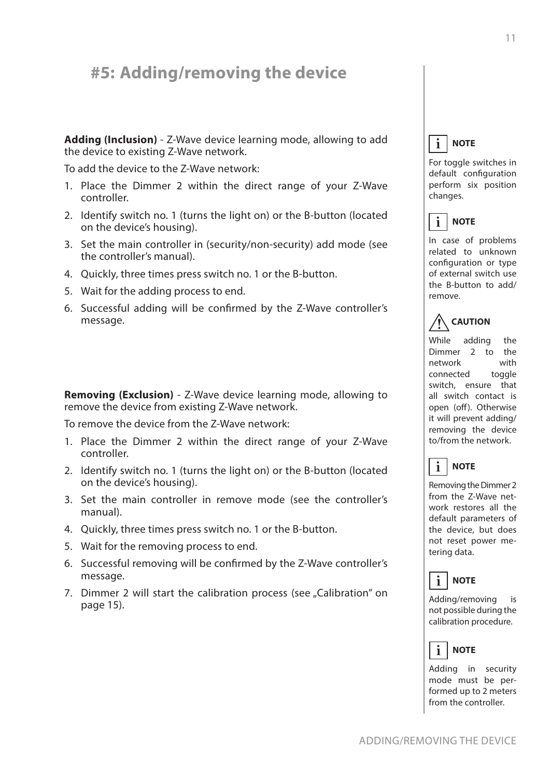# <span id="page-10-1"></span><span id="page-10-0"></span>**#5: Adding/removing the device**

**Adding (Inclusion)** - Z-Wave device learning mode, allowing to add the device to existing Z-Wave network.

To add the device to the Z-Wave network:

- 1. Place the Dimmer 2 within the direct range of your Z-Wave controller.
- 2. Identify switch no. 1 (turns the light on) or the B-button (located on the device's housing).
- 3. Set the main controller in (security/non-security) add mode (see the controller's manual).
- 4. Quickly, three times press switch no. 1 or the B-button.
- 5. Wait for the adding process to end.
- 6. Successful adding will be confirmed by the Z-Wave controller's message.

**Removing (Exclusion)** - Z-Wave device learning mode, allowing to remove the device from existing Z-Wave network.

To remove the device from the Z-Wave network:

- 1. Place the Dimmer 2 within the direct range of your Z-Wave controller.
- 2. Identify switch no. 1 (turns the light on) or the B-button (located on the device's housing).
- 3. Set the main controller in remove mode (see the controller's manual).
- 4. Quickly, three times press switch no. 1 or the B-button.
- 5. Wait for the removing process to end.
- 6. Successful removing will be confirmed by the Z-Wave controller's message.
- 7. Dimmer 2 will start the calibration process (see "Calibration" on [page 15\)](#page-14-1).

#### **NOTE i**

For toggle switches in default configuration perform six position changes.



In case of problems related to unknown configuration or type of external switch use the B-button to add/ remove.

#### **CAUTION !**

While adding the Dimmer 2 to the network with connected toggle switch, ensure that all switch contact is open (off). Otherwise it will prevent adding/ removing the device to/from the network.



Removing the Dimmer 2 from the Z-Wave network restores all the default parameters of the device, but does not reset power metering data.



Adding/removing is not possible during the calibration procedure.

#### **NOTE i**

Adding in security mode must be performed up to 2 meters from the controller.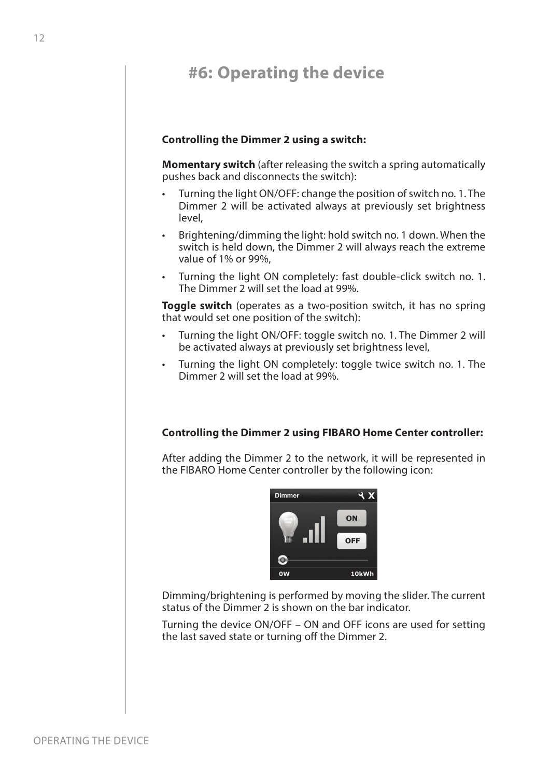# <span id="page-11-1"></span><span id="page-11-0"></span>**#6: Operating the device**

#### **Controlling the Dimmer 2 using a switch:**

**Momentary switch** (after releasing the switch a spring automatically pushes back and disconnects the switch):

- Turning the light ON/OFF: change the position of switch no. 1. The Dimmer 2 will be activated always at previously set brightness level,
- Brightening/dimming the light: hold switch no. 1 down. When the switch is held down, the Dimmer 2 will always reach the extreme value of 1% or 99%,
- Turning the light ON completely: fast double-click switch no. 1. The Dimmer 2 will set the load at 99%.

**Toggle switch** (operates as a two-position switch, it has no spring that would set one position of the switch):

- Turning the light ON/OFF: toggle switch no. 1. The Dimmer 2 will be activated always at previously set brightness level,
- Turning the light ON completely: toggle twice switch no. 1. The Dimmer 2 will set the load at 99%.

#### **Controlling the Dimmer 2 using FIBARO Home Center controller:**

After adding the Dimmer 2 to the network, it will be represented in the FIBARO Home Center controller by the following icon:



Dimming/brightening is performed by moving the slider. The current status of the Dimmer 2 is shown on the bar indicator.

Turning the device ON/OFF – ON and OFF icons are used for setting the last saved state or turning off the Dimmer 2.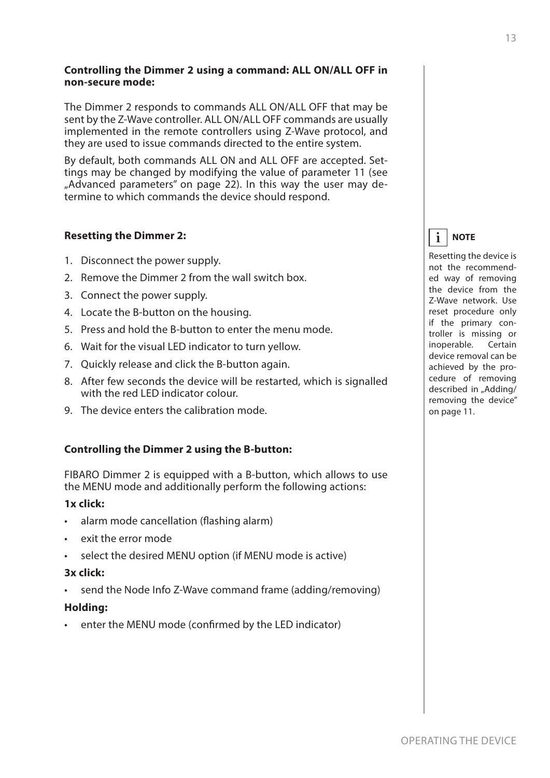### **Controlling the Dimmer 2 using a command: ALL ON/ALL OFF in non-secure mode:**

The Dimmer 2 responds to commands ALL ON/ALL OFF that may be sent by the Z-Wave controller. ALL ON/ALL OFF commands are usually implemented in the remote controllers using Z-Wave protocol, and they are used to issue commands directed to the entire system.

By default, both commands ALL ON and ALL OFF are accepted. Settings may be changed by modifying the value of parameter 11 (see ["Advanced parameters" on page 22](#page-21-1)). In this way the user may determine to which commands the device should respond.

# **Resetting the Dimmer 2:**

- 1. Disconnect the power supply.
- 2. Remove the Dimmer 2 from the wall switch box.
- 3. Connect the power supply.
- 4. Locate the B-button on the housing.
- 5. Press and hold the B-button to enter the menu mode.
- 6. Wait for the visual LED indicator to turn yellow.
- 7. Quickly release and click the B-button again.
- 8. After few seconds the device will be restarted, which is signalled with the red LED indicator colour.
- 9. The device enters the calibration mode.

#### **Controlling the Dimmer 2 using the B-button:**

FIBARO Dimmer 2 is equipped with a B-button, which allows to use the MENU mode and additionally perform the following actions:

#### **1x click:**

- alarm mode cancellation (flashing alarm)
- exit the error mode
- select the desired MENU option (if MENU mode is active)

#### **3x click:**

send the Node Info Z-Wave command frame (adding/removing)

#### **Holding:**

enter the MENU mode (confirmed by the LED indicator)

#### **NOTE i**

Resetting the device is not the recommended way of removing the device from the Z-Wave network. Use reset procedure only if the primary controller is missing or inoperable. Certain device removal can be achieved by the procedure of removing described in ["Adding/](#page-10-1) [removing the device"](#page-10-1) [on page 11](#page-10-1).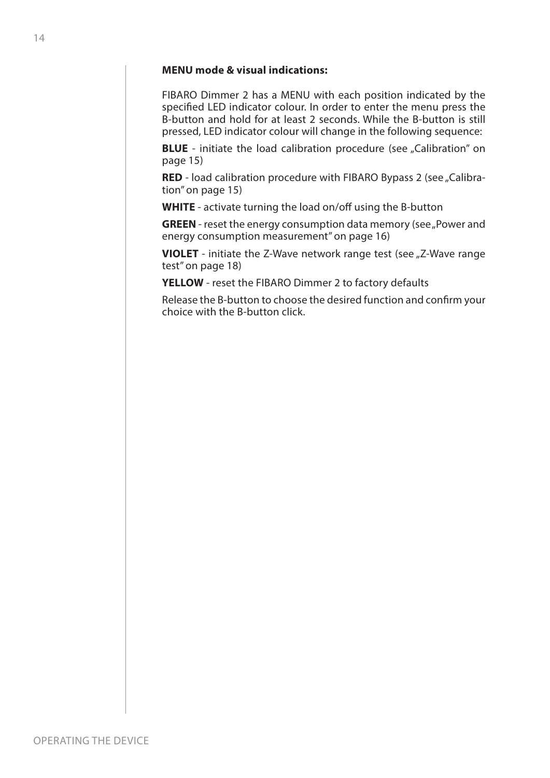#### **MENU mode & visual indications:**

FIBARO Dimmer 2 has a MENU with each position indicated by the specified LED indicator colour. In order to enter the menu press the B-button and hold for at least 2 seconds. While the B-button is still pressed, LED indicator colour will change in the following sequence:

**BLUE** - initiate the load calibration procedure (see "Calibration" on [page 15\)](#page-14-1)

**RED** - load calibration procedure with FIBARO Bypass 2 (see ["Calibra](#page-14-1)[tion" on page 15\)](#page-14-1)

**WHITE** - activate turning the load on/off using the B-button

**GREEN** - reset the energy consumption data memory (see "Power and [energy consumption measurement" on page 16\)](#page-15-1)

**VIOLET** - initiate the Z-Wave network range test (see "Z-Wave range [test" on page 18](#page-17-1))

**YELLOW** - reset the FIBARO Dimmer 2 to factory defaults

Release the B-button to choose the desired function and confirm your choice with the B-button click.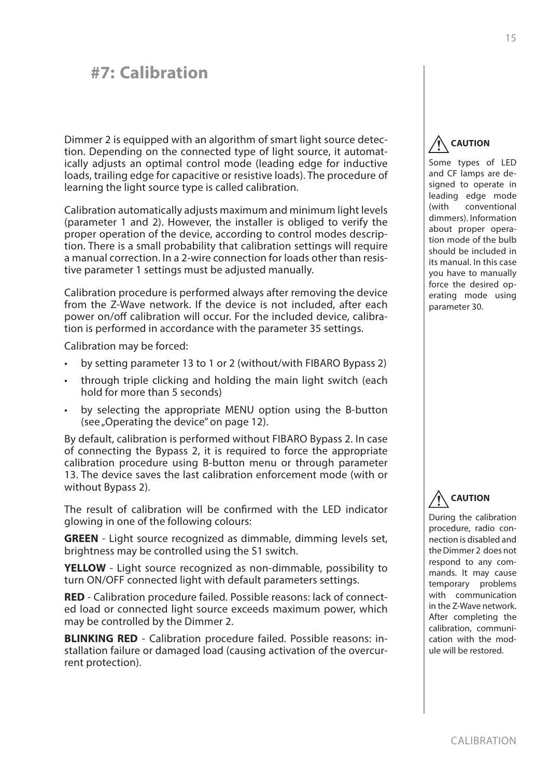# <span id="page-14-1"></span><span id="page-14-0"></span>**#7: Calibration**

Dimmer 2 is equipped with an algorithm of smart light source detection. Depending on the connected type of light source, it automatically adjusts an optimal control mode (leading edge for inductive loads, trailing edge for capacitive or resistive loads). The procedure of learning the light source type is called calibration.

Calibration automatically adjusts maximum and minimum light levels (parameter 1 and 2). However, the installer is obliged to verify the proper operation of the device, according to control modes description. There is a small probability that calibration settings will require a manual correction. In a 2-wire connection for loads other than resistive parameter 1 settings must be adjusted manually.

Calibration procedure is performed always after removing the device from the Z-Wave network. If the device is not included, after each power on/off calibration will occur. For the included device, calibration is performed in accordance with the parameter 35 settings.

Calibration may be forced:

- by setting parameter 13 to 1 or 2 (without/with FIBARO Bypass 2)
- through triple clicking and holding the main light switch (each hold for more than 5 seconds)
- by selecting the appropriate MENU option using the B-button (see ["Operating the device" on page 12\)](#page-11-1).

By default, calibration is performed without FIBARO Bypass 2. In case of connecting the Bypass 2, it is required to force the appropriate calibration procedure using B-button menu or through parameter 13. The device saves the last calibration enforcement mode (with or without Bypass 2).

The result of calibration will be confirmed with the LED indicator glowing in one of the following colours:

**GREEN** - Light source recognized as dimmable, dimming levels set, brightness may be controlled using the S1 switch.

**YELLOW** - Light source recognized as non-dimmable, possibility to turn ON/OFF connected light with default parameters settings.

**RED** - Calibration procedure failed. Possible reasons: lack of connected load or connected light source exceeds maximum power, which may be controlled by the Dimmer 2.

**BLINKING RED** - Calibration procedure failed. Possible reasons: installation failure or damaged load (causing activation of the overcurrent protection).

#### **CAUTION !**

Some types of LED and CF lamps are designed to operate in leading edge mode (with conventional dimmers). Information about proper operation mode of the bulb should be included in its manual. In this case you have to manually force the desired operating mode using parameter 30.

#### **CAUTION !**

During the calibration procedure, radio connection is disabled and the Dimmer 2 does not respond to any commands. It may cause temporary problems with communication in the Z-Wave network. After completing the calibration, communication with the module will be restored.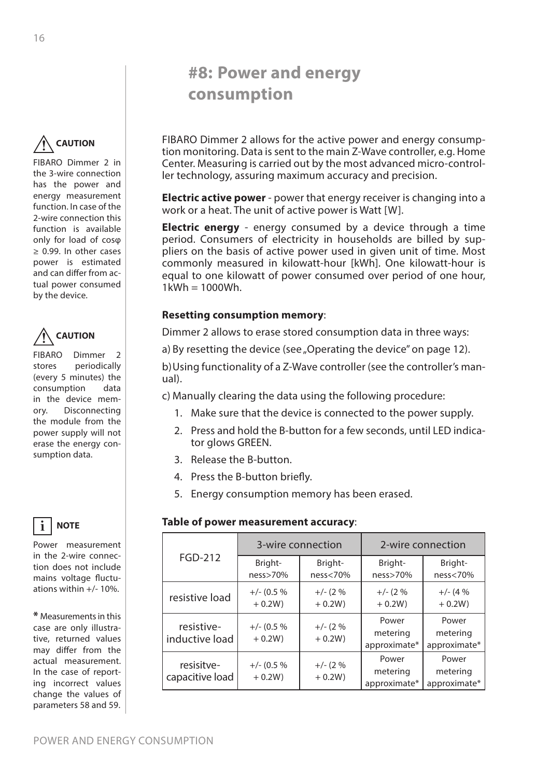# <span id="page-15-1"></span>**#8: Power and energy consumption**

FIBARO Dimmer 2 allows for the active power and energy consumption monitoring. Data is sent to the main Z-Wave controller, e.g. Home Center. Measuring is carried out by the most advanced micro-controller technology, assuring maximum accuracy and precision.

**Electric active power** - power that energy receiver is changing into a work or a heat. The unit of active power is Watt [W].

**Electric energy** - energy consumed by a device through a time period. Consumers of electricity in households are billed by suppliers on the basis of active power used in given unit of time. Most commonly measured in kilowatt-hour [kWh]. One kilowatt-hour is equal to one kilowatt of power consumed over period of one hour,  $1$ kWh =  $1000$ Wh.

# **Resetting consumption memory**:

Dimmer 2 allows to erase stored consumption data in three ways:

a) By resetting the device (see ["Operating the device" on page 12](#page-11-1)).

b)Using functionality of a Z-Wave controller (see the controller's manual).

c) Manually clearing the data using the following procedure:

- 1. Make sure that the device is connected to the power supply.
- 2. Press and hold the B-button for a few seconds, until LED indicator glows GREEN.
- 3. Release the B-button.
- 4. Press the B-button briefly.
- 5. Energy consumption memory has been erased.

#### **i Table of power measurement accuracy**:

|                               | 3-wire connection         |                        | 2-wire connection                 |                                   |
|-------------------------------|---------------------------|------------------------|-----------------------------------|-----------------------------------|
| <b>FGD-212</b>                | Bright-<br>ness>70%       | Bright-<br>ness<70%    | Bright-<br>ness>70%               | Bright-<br>ness<70%               |
| resistive load                | $+/- (0.5 %$<br>$+0.2W$   | $+/- (2%)$<br>$+ 0.2W$ | $+/- (2%)$<br>$+0.2W$             | $+/- (4%)$<br>$+0.2W$             |
| resistive-<br>inductive load  | $+/- (0.5 %$<br>$+0.2W$ ) | $+/- (2 %$<br>$+ 0.2W$ | Power<br>metering<br>approximate* | Power<br>metering<br>approximate* |
| resisitve-<br>capacitive load | $+/- (0.5 %$<br>$+0.2W$ ) | $+/- (2%)$<br>$+ 0.2W$ | Power<br>metering<br>approximate* | Power<br>metering<br>approximate* |

<span id="page-15-0"></span>**CAUTION !**

FIBARO Dimmer 2 in the 3-wire connection has the power and energy measurement function. In case of the 2-wire connection this function is available only for load of cosφ ≥ 0.99. In other cases power is estimated and can differ from actual power consumed by the device.



FIBARO Dimmer 2 stores periodically (every 5 minutes) the consumption data in the device memory. Disconnecting the module from the power supply will not erase the energy consumption data.



Power measurement in the 2-wire connection does not include mains voltage fluctuations within +/- 10%.

**\*** Measurements in this case are only illustrative, returned values may differ from the actual measurement. In the case of reporting incorrect values change the values of parameters 58 and 59.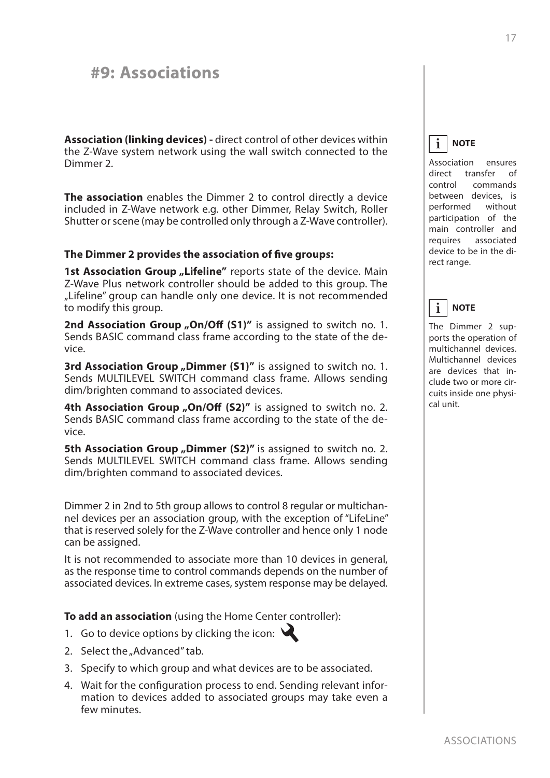# <span id="page-16-0"></span>**#9: Associations**

**Association (linking devices) -** direct control of other devices within the Z-Wave system network using the wall switch connected to the Dimmer 2.

**The association** enables the Dimmer 2 to control directly a device included in Z-Wave network e.g. other Dimmer, Relay Switch, Roller Shutter or scene (may be controlled only through a Z-Wave controller).

#### **The Dimmer 2 provides the association of five groups:**

**1st Association Group "Lifeline"** reports state of the device. Main Z-Wave Plus network controller should be added to this group. The "Lifeline" group can handle only one device. It is not recommended to modify this group.

2nd Association Group "On/Off (S1)" is assigned to switch no. 1. Sends BASIC command class frame according to the state of the device.

**3rd Association Group "Dimmer (S1)"** is assigned to switch no. 1. Sends MULTILEVEL SWITCH command class frame. Allows sending dim/brighten command to associated devices.

**4th Association Group "On/Off (S2)"** is assigned to switch no. 2. Sends BASIC command class frame according to the state of the device.

**5th Association Group "Dimmer (S2)"** is assigned to switch no. 2. Sends MULTILEVEL SWITCH command class frame. Allows sending dim/brighten command to associated devices.

Dimmer 2 in 2nd to 5th group allows to control 8 regular or multichannel devices per an association group, with the exception of "LifeLine" that is reserved solely for the Z-Wave controller and hence only 1 node can be assigned.

It is not recommended to associate more than 10 devices in general, as the response time to control commands depends on the number of associated devices. In extreme cases, system response may be delayed.

**To add an association** (using the Home Center controller):

- 1. Go to device options by clicking the icon:  $\mathbf{\mathbf{\mathcal{L}}}$
- 2. Select the "Advanced" tab.
- 3. Specify to which group and what devices are to be associated.
- 4. Wait for the configuration process to end. Sending relevant information to devices added to associated groups may take even a few minutes.

**NOTE i**

Association ensures direct transfer of control commands between devices, is performed without participation of the main controller and requires associated device to be in the direct range.

#### **NOTE i**

The Dimmer 2 supports the operation of multichannel devices. Multichannel devices are devices that include two or more circuits inside one physical unit.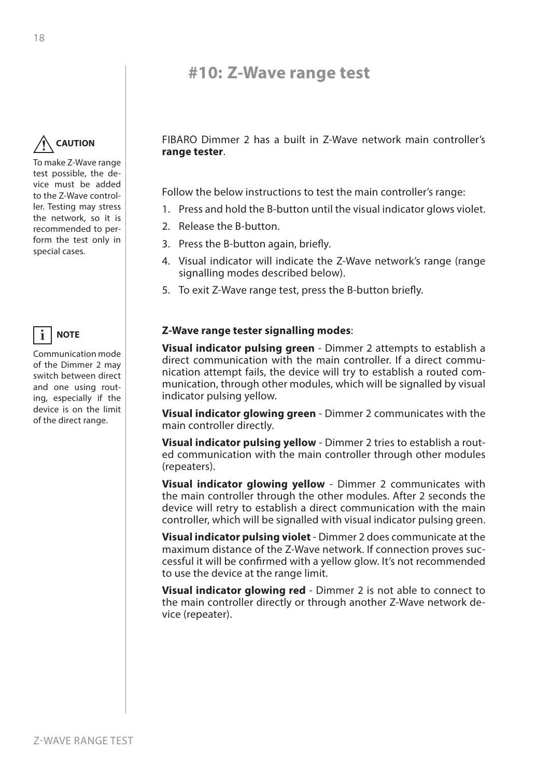# <span id="page-17-1"></span>**#10: Z-Wave range test**

#### <span id="page-17-0"></span>**CAUTION !**

To make Z-Wave range test possible, the device must be added to the Z-Wave controller. Testing may stress the network, so it is recommended to perform the test only in special cases.



Communication mode of the Dimmer 2 may switch between direct and one using routing, especially if the device is on the limit of the direct range.

FIBARO Dimmer 2 has a built in Z-Wave network main controller's **range tester**.

Follow the below instructions to test the main controller's range:

- 1. Press and hold the B-button until the visual indicator glows violet.
- 2. Release the B-button.
- 3. Press the B-button again, briefly.
- 4. Visual indicator will indicate the Z-Wave network's range (range signalling modes described below).
- 5. To exit Z-Wave range test, press the B-button briefly.

### **Z-Wave range tester signalling modes**:

**Visual indicator pulsing green** - Dimmer 2 attempts to establish a direct communication with the main controller. If a direct communication attempt fails, the device will try to establish a routed communication, through other modules, which will be signalled by visual indicator pulsing yellow.

**Visual indicator glowing green** - Dimmer 2 communicates with the main controller directly.

**Visual indicator pulsing yellow** - Dimmer 2 tries to establish a routed communication with the main controller through other modules (repeaters).

**Visual indicator glowing yellow** - Dimmer 2 communicates with the main controller through the other modules. After 2 seconds the device will retry to establish a direct communication with the main controller, which will be signalled with visual indicator pulsing green.

**Visual indicator pulsing violet** - Dimmer 2 does communicate at the maximum distance of the Z-Wave network. If connection proves successful it will be confirmed with a yellow glow. It's not recommended to use the device at the range limit.

**Visual indicator glowing red** - Dimmer 2 is not able to connect to the main controller directly or through another Z-Wave network device (repeater).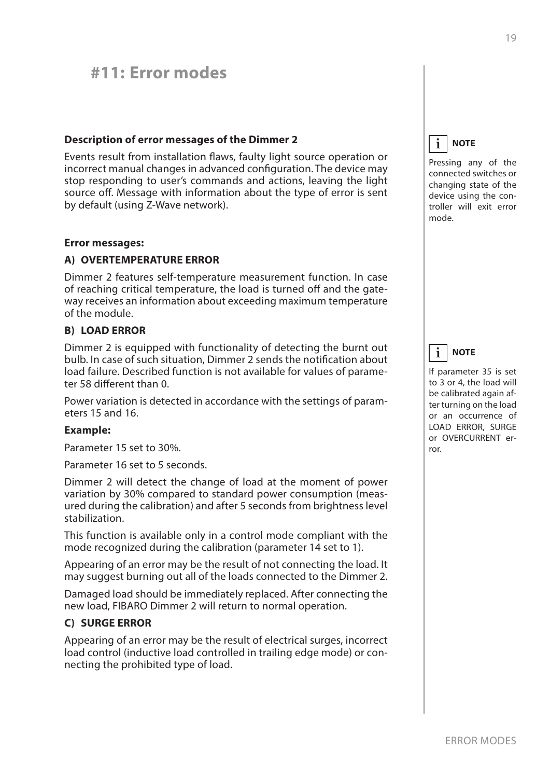# <span id="page-18-0"></span>**#11: Error modes**

### **Description of error messages of the Dimmer 2**

Events result from installation flaws, faulty light source operation or incorrect manual changes in advanced configuration. The device may stop responding to user's commands and actions, leaving the light source off. Message with information about the type of error is sent by default (using Z-Wave network).

#### **Error messages:**

### **A) OVERTEMPERATURE ERROR**

Dimmer 2 features self-temperature measurement function. In case of reaching critical temperature, the load is turned off and the gateway receives an information about exceeding maximum temperature of the module.

#### **B) LOAD ERROR**

Dimmer 2 is equipped with functionality of detecting the burnt out bulb. In case of such situation, Dimmer 2 sends the notification about load failure. Described function is not available for values of parameter 58 different than 0.

Power variation is detected in accordance with the settings of parameters 15 and 16.

#### **Example:**

Parameter 15 set to 30%.

Parameter 16 set to 5 seconds.

Dimmer 2 will detect the change of load at the moment of power variation by 30% compared to standard power consumption (measured during the calibration) and after 5 seconds from brightness level stabilization.

This function is available only in a control mode compliant with the mode recognized during the calibration (parameter 14 set to 1).

Appearing of an error may be the result of not connecting the load. It may suggest burning out all of the loads connected to the Dimmer 2.

Damaged load should be immediately replaced. After connecting the new load, FIBARO Dimmer 2 will return to normal operation.

#### **C) SURGE ERROR**

Appearing of an error may be the result of electrical surges, incorrect load control (inductive load controlled in trailing edge mode) or connecting the prohibited type of load.

#### **NOTE i**

Pressing any of the connected switches or changing state of the device using the controller will exit error mode.



If parameter 35 is set to 3 or 4, the load will be calibrated again after turning on the load or an occurrence of LOAD ERROR, SURGE or OVERCURRENT error.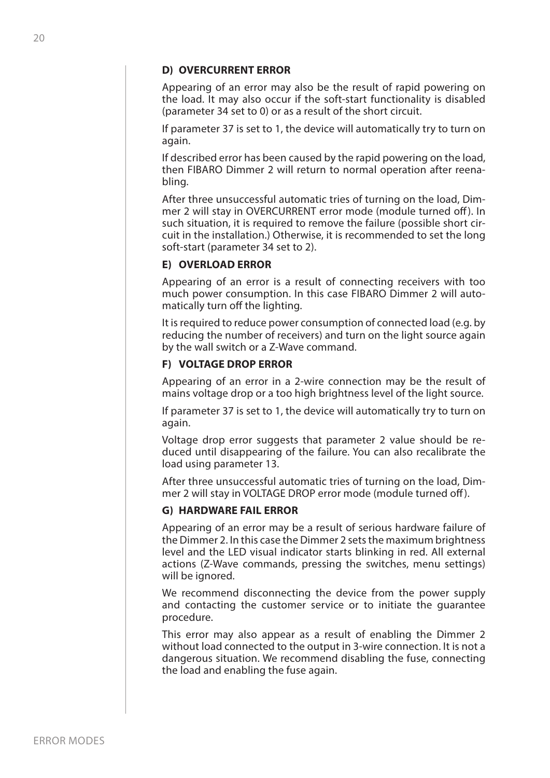#### **D) OVERCURRENT ERROR**

Appearing of an error may also be the result of rapid powering on the load. It may also occur if the soft-start functionality is disabled (parameter 34 set to 0) or as a result of the short circuit.

If parameter 37 is set to 1, the device will automatically try to turn on again.

If described error has been caused by the rapid powering on the load, then FIBARO Dimmer 2 will return to normal operation after reenabling.

After three unsuccessful automatic tries of turning on the load, Dimmer 2 will stay in OVERCURRENT error mode (module turned off ). In such situation, it is required to remove the failure (possible short circuit in the installation.) Otherwise, it is recommended to set the long soft-start (parameter 34 set to 2).

#### **E) OVERLOAD ERROR**

Appearing of an error is a result of connecting receivers with too much power consumption. In this case FIBARO Dimmer 2 will automatically turn off the lighting.

It is required to reduce power consumption of connected load (e.g. by reducing the number of receivers) and turn on the light source again by the wall switch or a Z-Wave command.

#### **F) VOLTAGE DROP ERROR**

Appearing of an error in a 2-wire connection may be the result of mains voltage drop or a too high brightness level of the light source.

If parameter 37 is set to 1, the device will automatically try to turn on again.

Voltage drop error suggests that parameter 2 value should be reduced until disappearing of the failure. You can also recalibrate the load using parameter 13.

After three unsuccessful automatic tries of turning on the load, Dimmer 2 will stay in VOLTAGE DROP error mode (module turned off ).

### **G) HARDWARE FAIL ERROR**

Appearing of an error may be a result of serious hardware failure of the Dimmer 2. In this case the Dimmer 2 sets the maximum brightness level and the LED visual indicator starts blinking in red. All external actions (Z-Wave commands, pressing the switches, menu settings) will be ignored.

We recommend disconnecting the device from the power supply and contacting the customer service or to initiate the guarantee procedure.

This error may also appear as a result of enabling the Dimmer 2 without load connected to the output in 3-wire connection. It is not a dangerous situation. We recommend disabling the fuse, connecting the load and enabling the fuse again.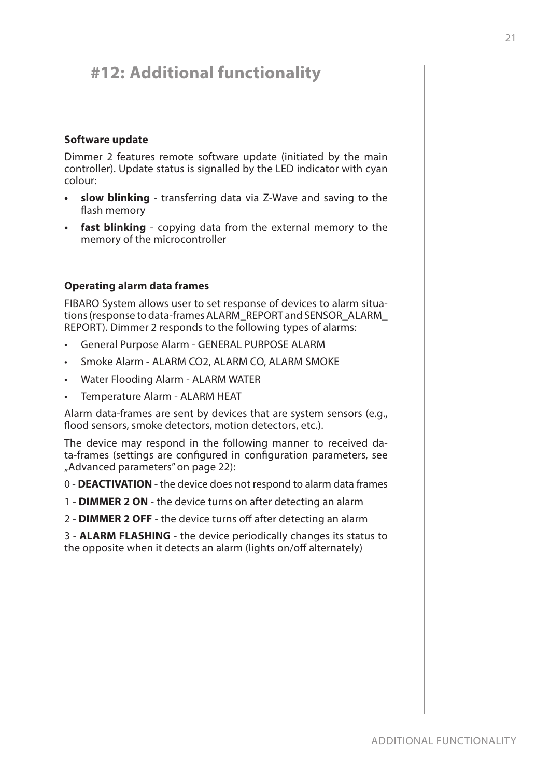# <span id="page-20-0"></span>**#12: Additional functionality**

### **Software update**

Dimmer 2 features remote software update (initiated by the main controller). Update status is signalled by the LED indicator with cyan colour:

- **• slow blinking** transferring data via Z-Wave and saving to the flash memory
- **• fast blinking** copying data from the external memory to the memory of the microcontroller

# **Operating alarm data frames**

FIBARO System allows user to set response of devices to alarm situations (response to data-frames ALARM\_REPORT and SENSOR\_ALARM\_ REPORT). Dimmer 2 responds to the following types of alarms:

- General Purpose Alarm GENERAL PURPOSE ALARM
- Smoke Alarm ALARM CO2, ALARM CO, ALARM SMOKE
- Water Flooding Alarm ALARM WATER
- Temperature Alarm ALARM HEAT

Alarm data-frames are sent by devices that are system sensors (e.g., flood sensors, smoke detectors, motion detectors, etc.).

The device may respond in the following manner to received data-frames (settings are configured in configuration parameters, see ["Advanced parameters" on page 22\)](#page-21-1):

0 - **DEACTIVATION** - the device does not respond to alarm data frames

- 1 **DIMMER 2 ON** the device turns on after detecting an alarm
- 2 **DIMMER 2 OFF** the device turns off after detecting an alarm

3 - **ALARM FLASHING** - the device periodically changes its status to the opposite when it detects an alarm (lights on/off alternately)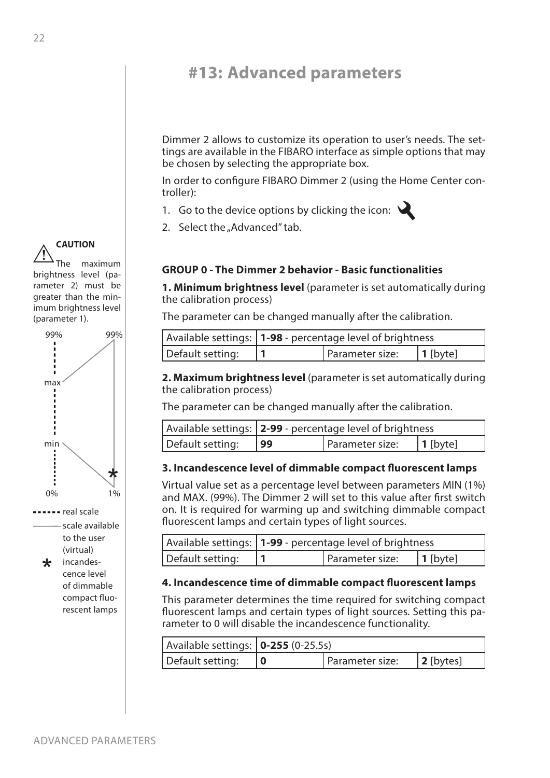# <span id="page-21-1"></span><span id="page-21-0"></span>**#13: Advanced parameters**

Dimmer 2 allows to customize its operation to user's needs. The settings are available in the FIBARO interface as simple options that may be chosen by selecting the appropriate box.

In order to configure FIBARO Dimmer 2 (using the Home Center controller):

- 1. Go to the device options by clicking the icon:  $\mathcal{L}$
- 2. Select the "Advanced" tab.

# **GROUP 0 - The Dimmer 2 behavior - Basic functionalities**

**1. Minimum brightness level** (parameter is set automatically during the calibration process)

The parameter can be changed manually after the calibration.

|                  | Available settings:   1-98 - percentage level of brightness |                 |          |
|------------------|-------------------------------------------------------------|-----------------|----------|
| Default setting: |                                                             | Parameter size: | 1 [byte] |

**2. Maximum brightness level** (parameter is set automatically during the calibration process)

The parameter can be changed manually after the calibration.

|                  | Available settings:   2-99 - percentage level of brightness |                 |                  |
|------------------|-------------------------------------------------------------|-----------------|------------------|
| Default setting: | 99                                                          | Parameter size: | $\vert$ 1 [byte] |

# **3. Incandescence level of dimmable compact fluorescent lamps**

Virtual value set as a percentage level between parameters MIN (1%) and MAX. (99%). The Dimmer 2 will set to this value after first switch on. It is required for warming up and switching dimmable compact fluorescent lamps and certain types of light sources.

|                  | Available settings:   1-99 - percentage level of brightness |                  |
|------------------|-------------------------------------------------------------|------------------|
| Default setting: | Parameter size:                                             | $\vert$ 1 [byte] |

# **4. Incandescence time of dimmable compact fluorescent lamps**

This parameter determines the time required for switching compact fluorescent lamps and certain types of light sources. Setting this parameter to 0 will disable the incandescence functionality.

| Available settings: $\vert$ <b>0-255</b> (0-25.5s) |  |                 |              |
|----------------------------------------------------|--|-----------------|--------------|
| Default setting:                                   |  | Parameter size: | $ 2$ [bytes] |

**CAUTION** The maximum brightness level (parameter 2) must be greater than the minimum brightness level **!**

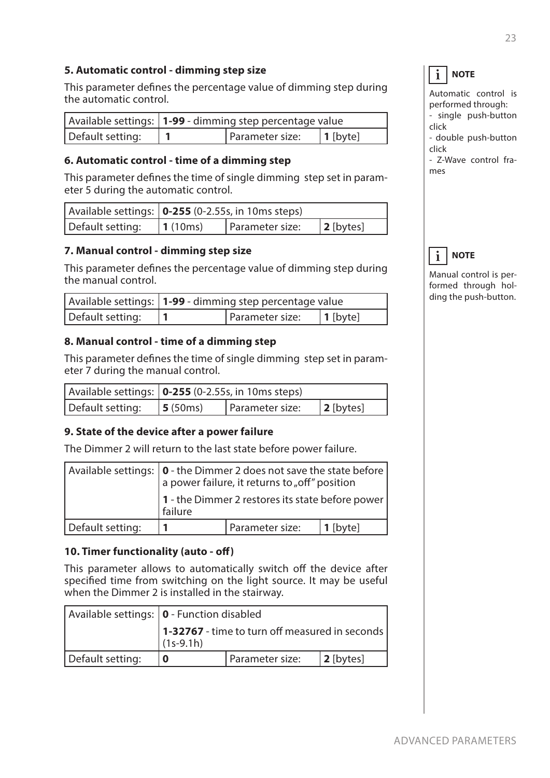# **5. Automatic control - dimming step size**

This parameter defines the percentage value of dimming step during the automatic control.

|                  | Available settings:   1-99 - dimming step percentage value |                 |          |
|------------------|------------------------------------------------------------|-----------------|----------|
| Default setting: |                                                            | Parameter size: | 1 [byte] |

# **6. Automatic control - time of a dimming step**

This parameter defines the time of single dimming step set in parameter 5 during the automatic control.

|                  | Available settings:   0-255 (0-2.55s, in 10ms steps) |                 |              |
|------------------|------------------------------------------------------|-----------------|--------------|
| Default setting: | 1(10ms)                                              | Parameter size: | $ 2$ [bytes] |

# **7. Manual control - dimming step size**

This parameter defines the percentage value of dimming step during the manual control.

|                  | Available settings:   1-99 - dimming step percentage value |                 |                  |
|------------------|------------------------------------------------------------|-----------------|------------------|
| Default setting: |                                                            | Parameter size: | $\vert$ 1 [byte] |

### **8. Manual control - time of a dimming step**

This parameter defines the time of single dimming step set in parameter 7 during the manual control.

|                  | Available settings: $ 0-255(0-2.55s, in 10ms steps) $ |                 |              |
|------------------|-------------------------------------------------------|-----------------|--------------|
| Default setting: | $\vert$ 5 (50ms)                                      | Parameter size: | $ 2$ [bytes] |

# **9. State of the device after a power failure**

The Dimmer 2 will return to the last state before power failure.

|                  | Available settings: $\begin{bmatrix} 0 \text{ - the Dimmer 2 does not save the state before} \\ a power failure, it returns to "off" position \end{bmatrix}$ |                 |          |
|------------------|--------------------------------------------------------------------------------------------------------------------------------------------------------------|-----------------|----------|
|                  | 1 - the Dimmer 2 restores its state before power  <br>failure                                                                                                |                 |          |
| Default setting: |                                                                                                                                                              | Parameter size: | 1 [byte] |

# **10. Timer functionality (auto - off)**

This parameter allows to automatically switch off the device after specified time from switching on the light source. It may be useful when the Dimmer 2 is installed in the stairway.

|                  | Available settings:   0 - Function disabled                   |                 |              |
|------------------|---------------------------------------------------------------|-----------------|--------------|
|                  | 1-32767 - time to turn off measured in seconds<br>$(1s-9.1h)$ |                 |              |
| Default setting: |                                                               | Parameter size: | $ 2$ [bytes] |

#### **NOTE i**

Automatic control is performed through: - single push-button click

- double push-button click

- Z-Wave control frames



Manual control is performed through holding the push-button.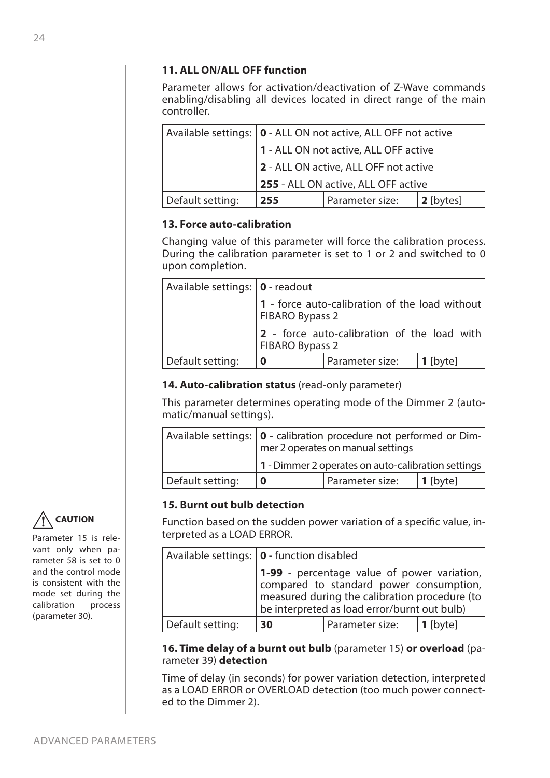# **11. ALL ON/ALL OFF function**

Parameter allows for activation/deactivation of Z-Wave commands enabling/disabling all devices located in direct range of the main controller.

|                  | Available settings:   0 - ALL ON not active, ALL OFF not active |                 |           |  |
|------------------|-----------------------------------------------------------------|-----------------|-----------|--|
|                  | 1 - ALL ON not active, ALL OFF active                           |                 |           |  |
|                  | 2 - ALL ON active, ALL OFF not active                           |                 |           |  |
|                  | 255 - ALL ON active, ALL OFF active                             |                 |           |  |
| Default setting: | 255                                                             | Parameter size: | 2 [bytes] |  |

# **13. Force auto-calibration**

Changing value of this parameter will force the calibration process. During the calibration parameter is set to 1 or 2 and switched to 0 upon completion.

| Available settings:   0 - readout |                                                                   |                 |            |
|-----------------------------------|-------------------------------------------------------------------|-----------------|------------|
|                                   | 1 - force auto-calibration of the load without<br>FIBARO Bypass 2 |                 |            |
|                                   | 2 - force auto-calibration of the load with<br>FIBARO Bypass 2    |                 |            |
| Default setting:                  | 0                                                                 | Parameter size: | $1$ [byte] |

# **14. Auto-calibration status** (read-only parameter)

This parameter determines operating mode of the Dimmer 2 (automatic/manual settings).

|                  | Available settings:   0 - calibration procedure not performed or Dim-  <br>mer 2 operates on manual settings |                 |          |
|------------------|--------------------------------------------------------------------------------------------------------------|-----------------|----------|
|                  | 1 - Dimmer 2 operates on auto-calibration settings                                                           |                 |          |
| Default setting: |                                                                                                              | Parameter size: | 1 [byte] |

# **15. Burnt out bulb detection**

Function based on the sudden power variation of a specific value, interpreted as a LOAD ERROR.

|                  | Available settings:   0 - function disabled                                                                                            |                 |                 |
|------------------|----------------------------------------------------------------------------------------------------------------------------------------|-----------------|-----------------|
|                  | 1-99 - percentage value of power variation,<br>compared to standard power consumption,<br>be interpreted as load error/burnt out bulb) |                 |                 |
| Default setting: | 30                                                                                                                                     | Parameter size: | <b>1</b> [byte] |

### **16. Time delay of a burnt out bulb** (parameter 15) **or overload** (parameter 39) **detection**

Time of delay (in seconds) for power variation detection, interpreted as a LOAD ERROR or OVERLOAD detection (too much power connected to the Dimmer 2).



Parameter 15 is relevant only when parameter 58 is set to 0 and the control mode is consistent with the mode set during the calibration process (parameter 30).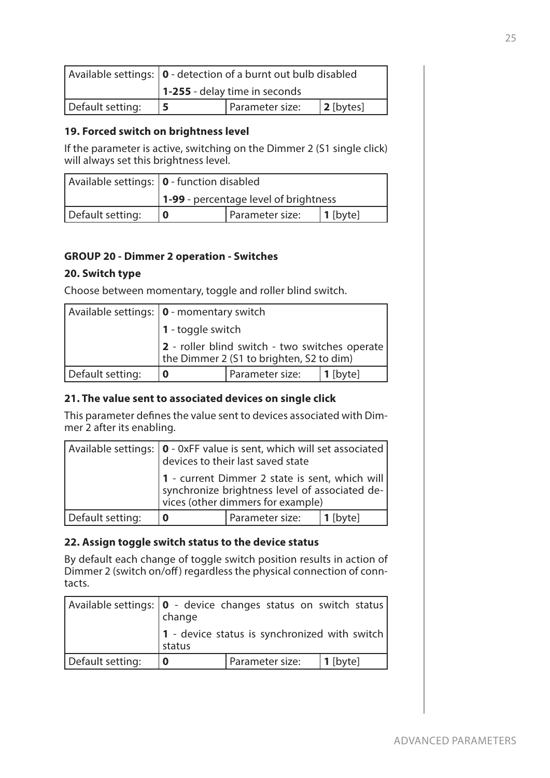|                  | Available settings:   0 - detection of a burnt out bulb disabled |  |  |
|------------------|------------------------------------------------------------------|--|--|
|                  | $\vert$ 1-255 - delay time in seconds                            |  |  |
| Default setting: | Parameter size:<br>$ 2$ [bytes]                                  |  |  |

# **19. Forced switch on brightness level**

If the parameter is active, switching on the Dimmer 2 (S1 single click) will always set this brightness level.

|                  | Available settings:   0 - function disabled  |  |  |
|------------------|----------------------------------------------|--|--|
|                  | <b>1-99</b> - percentage level of brightness |  |  |
| Default setting: | Parameter size:<br>$ 1$ [byte]               |  |  |

# **GROUP 20 - Dimmer 2 operation - Switches**

# **20. Switch type**

Choose between momentary, toggle and roller blind switch.

|                  | Available settings:   0 - momentary switch                                                 |                 |             |  |
|------------------|--------------------------------------------------------------------------------------------|-----------------|-------------|--|
|                  | $\vert$ 1 - toggle switch                                                                  |                 |             |  |
|                  | 2 - roller blind switch - two switches operate<br>the Dimmer 2 (S1 to brighten, S2 to dim) |                 |             |  |
| Default setting: |                                                                                            | Parameter size: | $ 1$ [byte] |  |

# **21. The value sent to associated devices on single click**

This parameter defines the value sent to devices associated with Dimmer 2 after its enabling.

|                  | Available settings: $\vert 0$ - 0xFF value is sent, which will set associated $\vert$ devices to their last saved state               |                 |            |
|------------------|---------------------------------------------------------------------------------------------------------------------------------------|-----------------|------------|
|                  | 1 - current Dimmer 2 state is sent, which will<br>synchronize brightness level of associated de-<br>vices (other dimmers for example) |                 |            |
| Default setting: |                                                                                                                                       | Parameter size: | $1$ [byte] |

# **22. Assign toggle switch status to the device status**

By default each change of toggle switch position results in action of Dimmer 2 (switch on/off) regardless the physical connection of conntacts.

| Available settings:   0 - device changes status on switch status | change |                                               |             |
|------------------------------------------------------------------|--------|-----------------------------------------------|-------------|
|                                                                  | status | 1 - device status is synchronized with switch |             |
| Default setting:                                                 | 0      | Parameter size:                               | $ 1$ [byte] |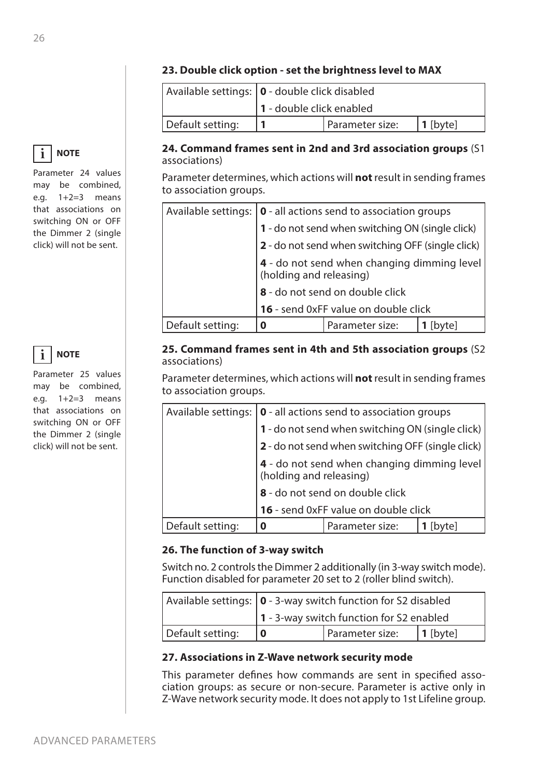# **23. Double click option - set the brightness level to MAX**

|                  | Available settings:   0 - double click disabled |  |  |  |
|------------------|-------------------------------------------------|--|--|--|
|                  | 1 - double click enabled                        |  |  |  |
| Default setting: | Parameter size:<br>  1 [byte]                   |  |  |  |

# **24. Command frames sent in 2nd and 3rd association groups** (S1 associations)

Parameter determines, which actions will **not** result in sending frames to association groups.

|                  | Available settings: $\vert \mathbf{0} \vert$ - all actions send to association groups |                 |        |  |
|------------------|---------------------------------------------------------------------------------------|-----------------|--------|--|
|                  | 1 - do not send when switching ON (single click)                                      |                 |        |  |
|                  | 2 - do not send when switching OFF (single click)                                     |                 |        |  |
|                  | 4 - do not send when changing dimming level<br>(holding and releasing)                |                 |        |  |
|                  | 8 - do not send on double click                                                       |                 |        |  |
|                  | 16 - send 0xFF value on double click                                                  |                 |        |  |
| Default setting: | 0                                                                                     | Parameter size: | [byte] |  |

# **25. Command frames sent in 4th and 5th association groups** (S2 associations)

Parameter determines, which actions will **not** result in sending frames to association groups.

|                  | Available settings: $ 0 \text{ - all actions send to association groups}$ |                 |        |
|------------------|---------------------------------------------------------------------------|-----------------|--------|
|                  | 1 - do not send when switching ON (single click)                          |                 |        |
|                  | 2 - do not send when switching OFF (single click)                         |                 |        |
|                  | 4 - do not send when changing dimming level<br>(holding and releasing)    |                 |        |
|                  | 8 - do not send on double click                                           |                 |        |
|                  | 16 - send 0xFF value on double click                                      |                 |        |
| Default setting: | 0                                                                         | Parameter size: | [byte] |

# **26. The function of 3-way switch**

Switch no. 2 controls the Dimmer 2 additionally (in 3-way switch mode). Function disabled for parameter 20 set to 2 (roller blind switch).

|                  | Available settings: $\vert \mathbf{0} \vert$ - 3-way switch function for S2 disabled |  |  |  |
|------------------|--------------------------------------------------------------------------------------|--|--|--|
|                  | 1 - 3-way switch function for S2 enabled                                             |  |  |  |
| Default setting: | <b>I</b> Parameter size:<br>$ 1$ [byte]                                              |  |  |  |

# **27. Associations in Z-Wave network security mode**

This parameter defines how commands are sent in specified association groups: as secure or non-secure. Parameter is active only in Z-Wave network security mode. It does not apply to 1st Lifeline group.



Parameter 24 values may be combined, e.g. 1+2=3 means that associations on switching ON or OFF the Dimmer 2 (single click) will not be sent.



Parameter 25 values may be combined, e.g. 1+2=3 means that associations on switching ON or OFF the Dimmer 2 (single click) will not be sent.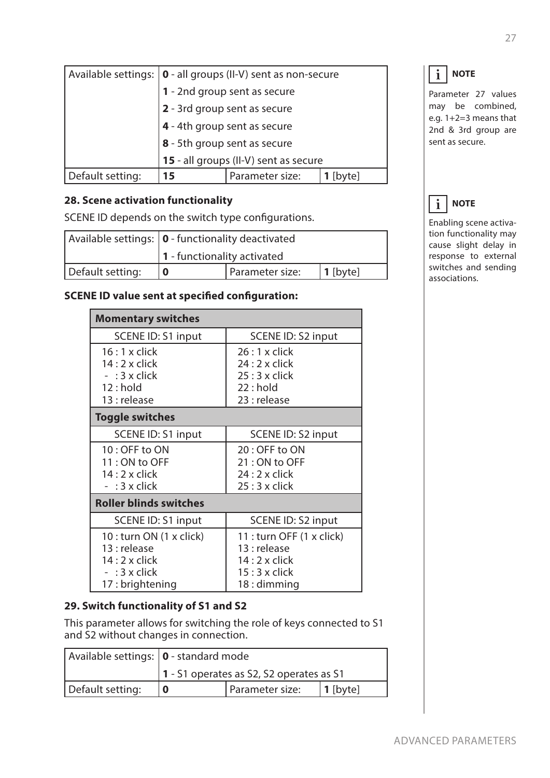|                  | Available settings: $ 0 - \text{all}$ groups (II-V) sent as non-secure |  |  |  |
|------------------|------------------------------------------------------------------------|--|--|--|
|                  | 1 - 2nd group sent as secure                                           |  |  |  |
|                  | 2 - 3rd group sent as secure                                           |  |  |  |
|                  | 4 - 4th group sent as secure                                           |  |  |  |
|                  | 8 - 5th group sent as secure                                           |  |  |  |
|                  | 15 - all groups (II-V) sent as secure                                  |  |  |  |
| Default setting: | Parameter size:<br>15<br>[byte]                                        |  |  |  |

# **28. Scene activation functionality**

SCENE ID depends on the switch type configurations.

|                  | Available settings:   0 - functionality deactivated |  |  |
|------------------|-----------------------------------------------------|--|--|
|                  | $\vert$ 1 - functionality activated                 |  |  |
| Default setting: | Parameter size:<br>$1$ [byte]                       |  |  |

# **SCENE ID value sent at specified configuration:**

| <b>Momentary switches</b>     |                           |  |
|-------------------------------|---------------------------|--|
| SCENE ID: S1 input            | SCENE ID: S2 input        |  |
| $16:1x$ click                 | $26:1x$ click             |  |
| $14:2 \times$ click           | $24:2 \times$ click       |  |
| $-$ : 3 x click               | $25:3 \times$ click       |  |
| $12:$ hold                    | 22: hold                  |  |
| 13 : release                  | 23 : release              |  |
| <b>Toggle switches</b>        |                           |  |
| SCENE ID: S1 input            | SCENE ID: S2 input        |  |
| 10: OFF to ON                 | 20: OFF to ON             |  |
| 11: ON to OFF                 | 21: ON to OFF             |  |
| $14:2 \times$ click           | $24:2 \times$ click       |  |
| $-$ : 3 x click               | $25:3 \times$ click       |  |
| <b>Roller blinds switches</b> |                           |  |
| SCENE ID: S1 input            | SCENE ID: S2 input        |  |
| 10 : turn ON (1 x click)      | 11 : turn OFF (1 x click) |  |
| 13 : release                  | 13 : release              |  |
| $14:2 \times$ click           | $14:2 \times$ click       |  |
| $-$ : 3 x click               | $15:3 \times$ click       |  |
| 17: brightening               | $18:$ dimming             |  |

# **29. Switch functionality of S1 and S2**

This parameter allows for switching the role of keys connected to S1 and S2 without changes in connection.

| Available settings:   0 - standard mode |                                          |  |  |
|-----------------------------------------|------------------------------------------|--|--|
|                                         | 1 - S1 operates as S2, S2 operates as S1 |  |  |
| Default setting:                        | I Parameter size:<br>  1 [byte]          |  |  |

# $\mathbf{i}$  NOTE

Parameter 27 values may be combined, e.g. 1+2=3 means that 2nd & 3rd group are sent as secure.

# $\mathbf{i}$  NOTE

Enabling scene activation functionality may cause slight delay in response to external switches and sending associations.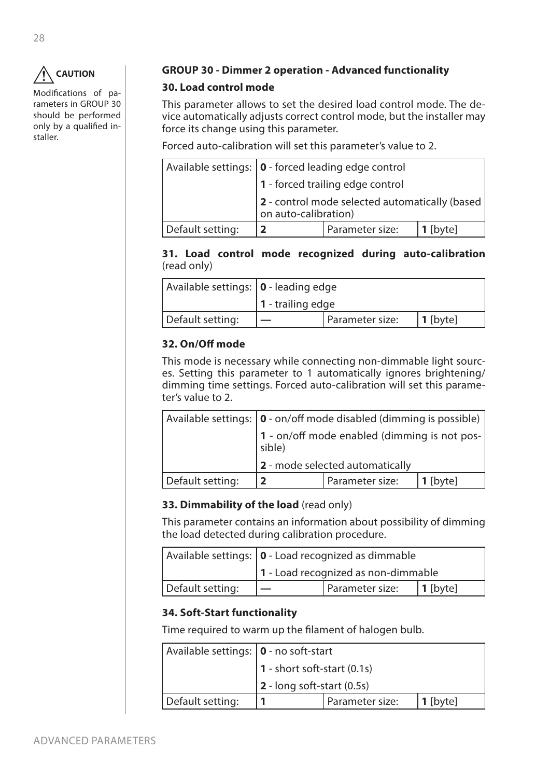

Modifications of parameters in GROUP 30 should be performed only by a qualified installer.

# **GROUP 30 - Dimmer 2 operation - Advanced functionality**

# **30. Load control mode**

This parameter allows to set the desired load control mode. The device automatically adjusts correct control mode, but the installer may force its change using this parameter.

Forced auto-calibration will set this parameter's value to 2.

|                  | Available settings:   0 - forced leading edge control                         |                 |          |
|------------------|-------------------------------------------------------------------------------|-----------------|----------|
|                  | 1 - forced trailing edge control                                              |                 |          |
|                  | $ 2$ - control mode selected automatically (based $ $<br>on auto-calibration) |                 |          |
| Default setting: |                                                                               | Parameter size: | 1 [byte] |

**31. Load control mode recognized during auto-calibration** (read only)

| Available settings:   0 - leading edge |                           |                 |          |
|----------------------------------------|---------------------------|-----------------|----------|
|                                        | $\vert$ 1 - trailing edge |                 |          |
| Default setting:                       |                           | Parameter size: | 1 [byte] |

# **32. On/Off mode**

This mode is necessary while connecting non-dimmable light sources. Setting this parameter to 1 automatically ignores brightening/ dimming time settings. Forced auto-calibration will set this parameter's value to 2.

|                  | Available settings:   0 - on/off mode disabled (dimming is possible) |                 |            |
|------------------|----------------------------------------------------------------------|-----------------|------------|
|                  | 1 - on/off mode enabled (dimming is not pos-<br>sible)               |                 |            |
|                  | 2 - mode selected automatically                                      |                 |            |
| Default setting: | כ                                                                    | Parameter size: | $1$ [byte] |

# **33. Dimmability of the load** (read only)

This parameter contains an information about possibility of dimming the load detected during calibration procedure.

|                  | Available settings:   0 - Load recognized as dimmable |  |  |
|------------------|-------------------------------------------------------|--|--|
|                  | 1 - Load recognized as non-dimmable                   |  |  |
| Default setting: | Parameter size:<br>$ 1$ [byte]                        |  |  |

# **34. Soft-Start functionality**

Time required to warm up the filament of halogen bulb.

| Available settings: <b>0</b> - no soft-start |                                    |                 |            |
|----------------------------------------------|------------------------------------|-----------------|------------|
|                                              | $1$ - short soft-start $(0.1s)$    |                 |            |
|                                              | $\vert$ 2 - long soft-start (0.5s) |                 |            |
| Default setting:                             |                                    | Parameter size: | $1$ [byte] |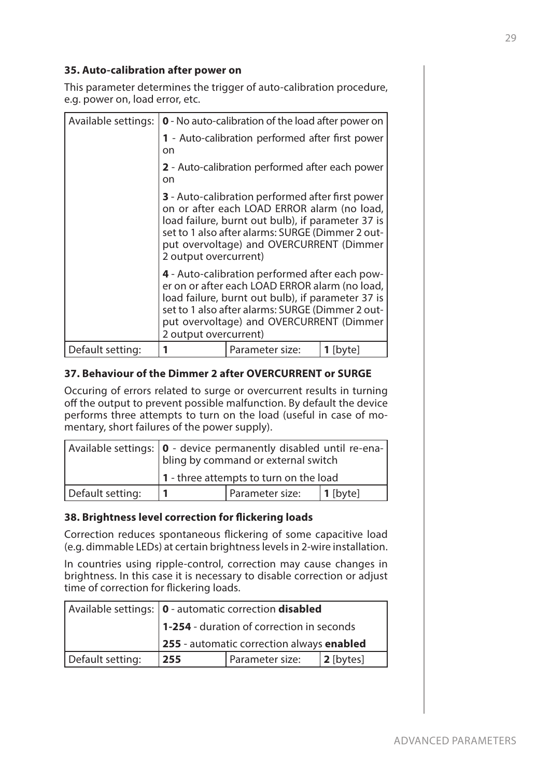# **35. Auto-calibration after power on**

This parameter determines the trigger of auto-calibration procedure, e.g. power on, load error, etc.

| Available settings: | <b>0</b> - No auto-calibration of the load after power on                                                                                                                                                                                                                            |                                                                                                                                                                                                                                                                                |                 |  |
|---------------------|--------------------------------------------------------------------------------------------------------------------------------------------------------------------------------------------------------------------------------------------------------------------------------------|--------------------------------------------------------------------------------------------------------------------------------------------------------------------------------------------------------------------------------------------------------------------------------|-----------------|--|
|                     | 1 - Auto-calibration performed after first power<br>on                                                                                                                                                                                                                               |                                                                                                                                                                                                                                                                                |                 |  |
|                     | 2 - Auto-calibration performed after each power<br>on                                                                                                                                                                                                                                |                                                                                                                                                                                                                                                                                |                 |  |
|                     | <b>3</b> - Auto-calibration performed after first power<br>on or after each LOAD ERROR alarm (no load,<br>load failure, burnt out bulb), if parameter 37 is<br>set to 1 also after alarms: SURGE (Dimmer 2 out-<br>put overvoltage) and OVERCURRENT (Dimmer<br>2 output overcurrent) |                                                                                                                                                                                                                                                                                |                 |  |
|                     |                                                                                                                                                                                                                                                                                      | 4 - Auto-calibration performed after each pow-<br>er on or after each LOAD ERROR alarm (no load,<br>load failure, burnt out bulb), if parameter 37 is<br>set to 1 also after alarms: SURGE (Dimmer 2 out-<br>put overvoltage) and OVERCURRENT (Dimmer<br>2 output overcurrent) |                 |  |
| Default setting:    | 1                                                                                                                                                                                                                                                                                    | Parameter size:                                                                                                                                                                                                                                                                | <b>1</b> [byte] |  |

# **37. Behaviour of the Dimmer 2 after OVERCURRENT or SURGE**

Occuring of errors related to surge or overcurrent results in turning off the output to prevent possible malfunction. By default the device performs three attempts to turn on the load (useful in case of momentary, short failures of the power supply).

|                  | Available settings:   0 - device permanently disabled until re-ena-<br>bling by command or external switch |                 |            |
|------------------|------------------------------------------------------------------------------------------------------------|-----------------|------------|
|                  | 1 - three attempts to turn on the load                                                                     |                 |            |
| Default setting: |                                                                                                            | Parameter size: | $1$ [byte] |

# **38. Brightness level correction for flickering loads**

Correction reduces spontaneous flickering of some capacitive load (e.g. dimmable LEDs) at certain brightness levels in 2-wire installation.

In countries using ripple-control, correction may cause changes in brightness. In this case it is necessary to disable correction or adjust time of correction for flickering loads.

|                  | Available settings:   0 - automatic correction <b>disabled</b> |  |  |
|------------------|----------------------------------------------------------------|--|--|
|                  | 1-254 - duration of correction in seconds                      |  |  |
|                  | 255 - automatic correction always enabled                      |  |  |
| Default setting: | $ 2$ [bytes]<br>Parameter size:<br>255                         |  |  |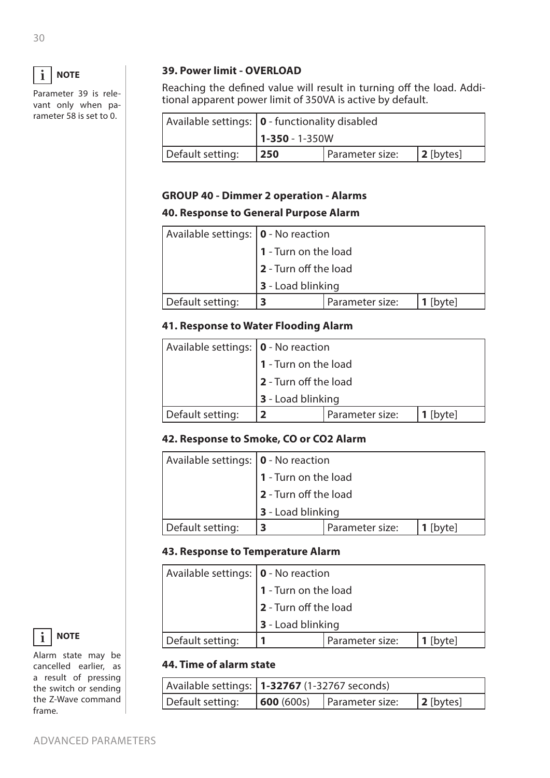

Parameter 39 is relevant only when parameter 58 is set to 0.

# **39. Power limit - OVERLOAD**

Reaching the defined value will result in turning off the load. Additional apparent power limit of 350VA is active by default.

|                  | Available settings:   0 - functionality disabled |  |  |  |
|------------------|--------------------------------------------------|--|--|--|
|                  | $1 - 350 - 1 - 350W$                             |  |  |  |
| Default setting: | Parameter size:<br>$ 2$ [bytes]<br> 250          |  |  |  |

# **GROUP 40 - Dimmer 2 operation - Alarms**

# **40. Response to General Purpose Alarm**

| Available settings:   0 - No reaction |                       |                 |            |
|---------------------------------------|-----------------------|-----------------|------------|
|                                       | 1 - Turn on the load  |                 |            |
|                                       | 2 - Turn off the load |                 |            |
|                                       | 3 - Load blinking     |                 |            |
| Default setting:                      | 3                     | Parameter size: | $1$ [byte] |

# **41. Response to Water Flooding Alarm**

| Available settings:   0 - No reaction |                             |                 |            |
|---------------------------------------|-----------------------------|-----------------|------------|
|                                       | <b>1</b> - Turn on the load |                 |            |
|                                       | 2 - Turn off the load       |                 |            |
|                                       | 3 - Load blinking           |                 |            |
| Default setting:                      |                             | Parameter size: | $1$ [byte] |

# **42. Response to Smoke, CO or CO2 Alarm**

| Available settings:   0 - No reaction |                          |                 |            |  |
|---------------------------------------|--------------------------|-----------------|------------|--|
|                                       | 1 - Turn on the load     |                 |            |  |
|                                       | 2 - Turn off the load    |                 |            |  |
|                                       | <b>3</b> - Load blinking |                 |            |  |
| Default setting:                      | 3                        | Parameter size: | $1$ [byte] |  |

# **43. Response to Temperature Alarm**

| Available settings: $ 0 \cdot$ No reaction |                       |                 |            |
|--------------------------------------------|-----------------------|-----------------|------------|
|                                            | 1 - Turn on the load  |                 |            |
|                                            | 2 - Turn off the load |                 |            |
|                                            | 3 - Load blinking     |                 |            |
| Default setting:                           |                       | Parameter size: | $1$ [byte] |

# **44. Time of alarm state**

|                  | Available settings:   1-32767 (1-32767 seconds) |                                    |              |
|------------------|-------------------------------------------------|------------------------------------|--------------|
| Default setting: |                                                 | $\vert$ 600 (600s) Parameter size: | $ 2$ [bytes] |



Alarm state may be cancelled earlier, as a result of pressing the switch or sending the Z-Wave command frame.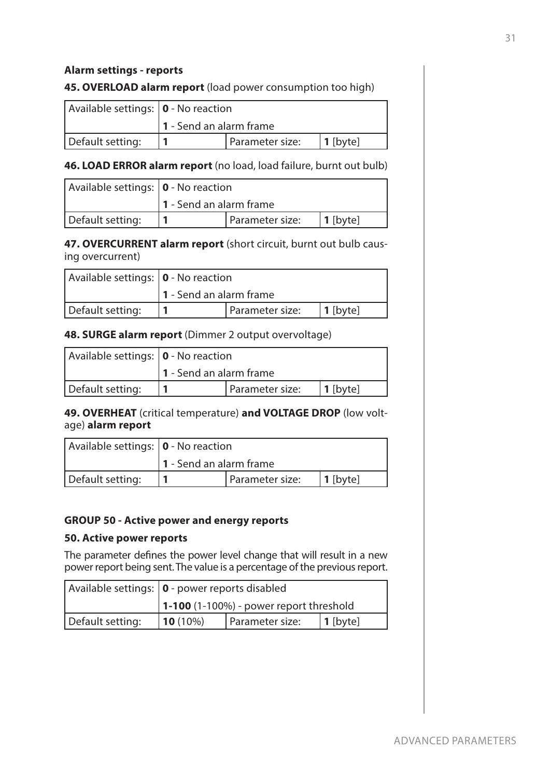# **Alarm settings - reports**

# **45. OVERLOAD alarm report** (load power consumption too high)

| Available settings:   0 - No reaction |                                |  |  |
|---------------------------------------|--------------------------------|--|--|
|                                       | 1 - Send an alarm frame        |  |  |
| Default setting:                      | Parameter size:<br>$ 1$ [byte] |  |  |

### **46. LOAD ERROR alarm report** (no load, load failure, burnt out bulb)

| Available settings:   0 - No reaction |                                |  |  |
|---------------------------------------|--------------------------------|--|--|
|                                       | $1 -$ Send an alarm frame      |  |  |
| Default setting:                      | Parameter size:<br>$ 1$ [byte] |  |  |

**47. OVERCURRENT alarm report** (short circuit, burnt out bulb causing overcurrent)

| Available settings: $ 0 \cdot$ No reaction |                                |  |  |
|--------------------------------------------|--------------------------------|--|--|
|                                            | 1 - Send an alarm frame        |  |  |
| Default setting:                           | Parameter size:<br>$ 1$ [byte] |  |  |

### **48. SURGE alarm report** (Dimmer 2 output overvoltage)

| Available settings: $ 0 \cdot$ No reaction |                                |  |  |
|--------------------------------------------|--------------------------------|--|--|
|                                            | $1 -$ Send an alarm frame      |  |  |
| Default setting:                           | Parameter size:<br>$ 1$ [byte] |  |  |

# **49. OVERHEAT** (critical temperature) **and VOLTAGE DROP** (low voltage) **alarm report**

| Available settings:   0 - No reaction |                           |                 |             |
|---------------------------------------|---------------------------|-----------------|-------------|
|                                       | $1 -$ Send an alarm frame |                 |             |
| Default setting:                      |                           | Parameter size: | $ 1$ [byte] |

#### **GROUP 50 - Active power and energy reports**

#### **50. Active power reports**

The parameter defines the power level change that will result in a new power report being sent. The value is a percentage of the previous report.

|                  | Available settings:   0 - power reports disabled |                 |             |
|------------------|--------------------------------------------------|-----------------|-------------|
|                  | $\vert$ 1-100 (1-100%) - power report threshold  |                 |             |
| Default setting: | $10(10\%)$                                       | Parameter size: | $ 1$ [byte] |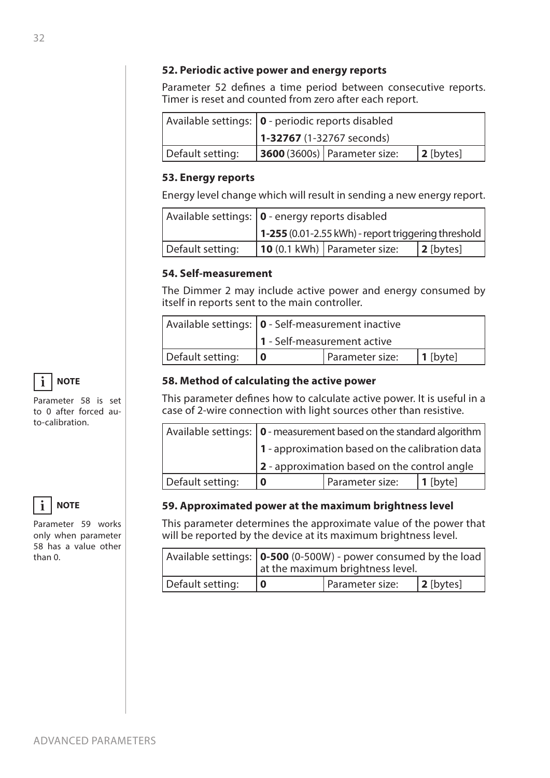### **52. Periodic active power and energy reports**

Parameter 52 defines a time period between consecutive reports. Timer is reset and counted from zero after each report.

|                  | Available settings:   0 - periodic reports disabled |                                     |              |
|------------------|-----------------------------------------------------|-------------------------------------|--------------|
|                  | $1-32767$ (1-32767 seconds)                         |                                     |              |
| Default setting: |                                                     | <b>3600</b> (3600s) Parameter size: | $ 2$ [bytes] |

### **53. Energy reports**

Energy level change which will result in sending a new energy report.

|                  | Available settings:   0 - energy reports disabled |                                                     |              |
|------------------|---------------------------------------------------|-----------------------------------------------------|--------------|
|                  |                                                   | 1-255 (0.01-2.55 kWh) - report triggering threshold |              |
| Default setting: |                                                   | 10 (0.1 kWh)   Parameter size:                      | $ 2$ [bytes] |

# **54. Self-measurement**

The Dimmer 2 may include active power and energy consumed by itself in reports sent to the main controller.

|                  | Available settings: $\vert$ 0 - Self-measurement inactive |                 |          |
|------------------|-----------------------------------------------------------|-----------------|----------|
|                  | 1 - Self-measurement active                               |                 |          |
| Default setting: |                                                           | Parameter size: | 1 [byte] |

# **58. Method of calculating the active power**

This parameter defines how to calculate active power. It is useful in a case of 2-wire connection with light sources other than resistive.

|                  | Available settings:   0 - measurement based on the standard algorithm |                                                 |            |
|------------------|-----------------------------------------------------------------------|-------------------------------------------------|------------|
|                  | 1 - approximation based on the calibration data                       |                                                 |            |
|                  |                                                                       | $ 2$ - approximation based on the control angle |            |
| Default setting: | 0                                                                     | Parameter size:                                 | $1$ [byte] |

# **59. Approximated power at the maximum brightness level**

This parameter determines the approximate value of the power that will be reported by the device at its maximum brightness level.

|                  | Available settings:   0-500 (0-500W) - power consumed by the load  <br>at the maximum brightness level. |                 |              |
|------------------|---------------------------------------------------------------------------------------------------------|-----------------|--------------|
| Default setting: |                                                                                                         | Parameter size: | $ 2$ [bytes] |

**NOTE i**

Parameter 58 is set to 0 after forced auto-calibration.



Parameter 59 works only when parameter 58 has a value other than 0.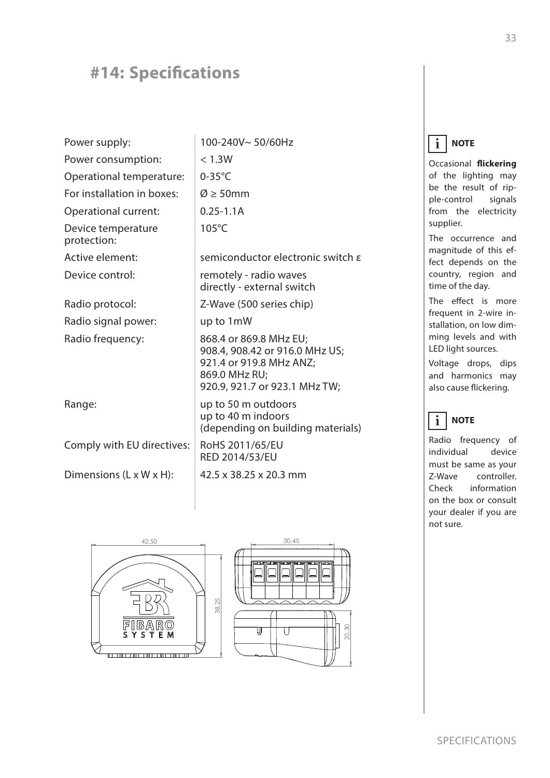# <span id="page-32-0"></span>**#14: Specifications**

| Power supply:                        | 100-240V~50/60Hz                                                                                                                      |
|--------------------------------------|---------------------------------------------------------------------------------------------------------------------------------------|
| Power consumption:                   | < 1.3W                                                                                                                                |
| Operational temperature:             | $0-35^{\circ}$ C                                                                                                                      |
| For installation in boxes:           | $\varnothing \geq 50$ mm                                                                                                              |
| Operational current:                 | $0.25 - 1.1A$                                                                                                                         |
| Device temperature<br>protection:    | $105^{\circ}$ C                                                                                                                       |
| Active element:                      | semiconductor electronic switch $\varepsilon$                                                                                         |
| Device control:                      | remotely - radio waves<br>directly - external switch                                                                                  |
| Radio protocol:                      | Z-Wave (500 series chip)                                                                                                              |
| Radio signal power:                  | up to 1mW                                                                                                                             |
| Radio frequency:                     | 868.4 or 869.8 MHz EU;<br>908.4, 908.42 or 916.0 MHz US;<br>921.4 or 919.8 MHz ANZ;<br>869.0 MHz RU;<br>920.9, 921.7 or 923.1 MHz TW; |
| Range:                               | up to 50 m outdoors<br>up to 40 m indoors<br>(depending on building materials)                                                        |
| Comply with EU directives:           | RoHS 2011/65/EU<br><b>RED 2014/53/EU</b>                                                                                              |
| Dimensions $(L \times W \times H)$ : | 42.5 x 38.25 x 20.3 mm                                                                                                                |



#### **NOTE i**

Occasional **flickering** of the lighting may be the result of ripple-control signals from the electricity supplier.

The occurrence and magnitude of this effect depends on the country, region and time of the day.

The effect is more frequent in 2-wire installation, on low dimming levels and with LED light sources.

Voltage drops, dips and harmonics may also cause flickering.

#### **NOTE i**

Radio frequency of individual device must be same as your Z-Wave controller. Check information on the box or consult your dealer if you are not sure.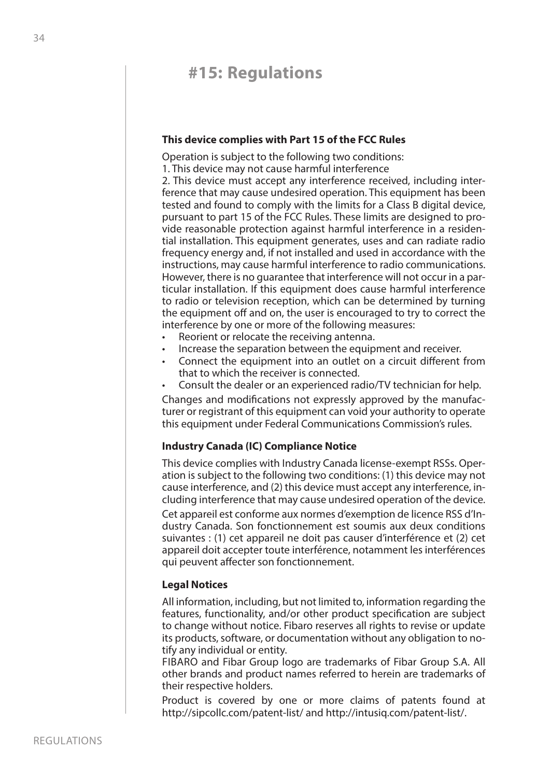# <span id="page-33-0"></span>**#15: Regulations**

#### **This device complies with Part 15 of the FCC Rules**

Operation is subject to the following two conditions:

1. This device may not cause harmful interference

2. This device must accept any interference received, including interference that may cause undesired operation. This equipment has been tested and found to comply with the limits for a Class B digital device, pursuant to part 15 of the FCC Rules. These limits are designed to provide reasonable protection against harmful interference in a residential installation. This equipment generates, uses and can radiate radio frequency energy and, if not installed and used in accordance with the instructions, may cause harmful interference to radio communications. However, there is no guarantee that interference will not occur in a particular installation. If this equipment does cause harmful interference to radio or television reception, which can be determined by turning the equipment off and on, the user is encouraged to try to correct the interference by one or more of the following measures:

- Reorient or relocate the receiving antenna.
- Increase the separation between the equipment and receiver.
- Connect the equipment into an outlet on a circuit different from that to which the receiver is connected.
- Consult the dealer or an experienced radio/TV technician for help.

Changes and modifications not expressly approved by the manufacturer or registrant of this equipment can void your authority to operate this equipment under Federal Communications Commission's rules.

#### **Industry Canada (IC) Compliance Notice**

This device complies with Industry Canada license-exempt RSSs. Operation is subject to the following two conditions: (1) this device may not cause interference, and (2) this device must accept any interference, including interference that may cause undesired operation of the device.

Cet appareil est conforme aux normes d'exemption de licence RSS d'Industry Canada. Son fonctionnement est soumis aux deux conditions suivantes : (1) cet appareil ne doit pas causer d'interférence et (2) cet appareil doit accepter toute interférence, notamment les interférences qui peuvent affecter son fonctionnement.

#### **Legal Notices**

All information, including, but not limited to, information regarding the features, functionality, and/or other product specification are subject to change without notice. Fibaro reserves all rights to revise or update its products, software, or documentation without any obligation to notify any individual or entity.

FIBARO and Fibar Group logo are trademarks of Fibar Group S.A. All other brands and product names referred to herein are trademarks of their respective holders.

Product is covered by one or more claims of patents found at <http://sipcollc.com/patent-list/> and [http://intusiq.com/patent-list/.](http://intusiq.com/patent-list/)